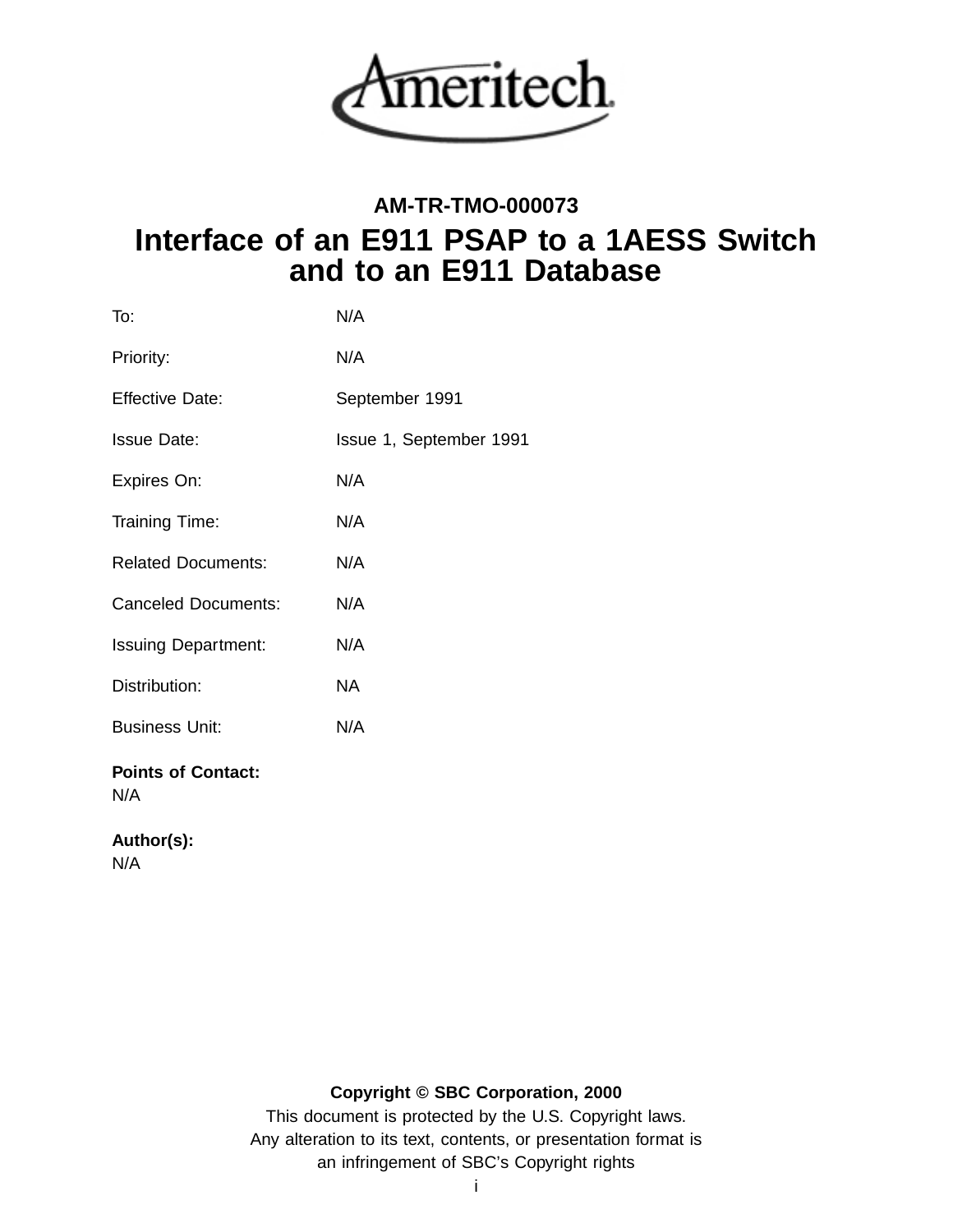

# **AM-TR-TMO-000073 Interface of an E911 PSAP to a 1AESS Switch and to an E911 Database**

| To:                              | N/A                     |
|----------------------------------|-------------------------|
| Priority:                        | N/A                     |
| <b>Effective Date:</b>           | September 1991          |
| <b>Issue Date:</b>               | Issue 1, September 1991 |
| Expires On:                      | N/A                     |
| Training Time:                   | N/A                     |
| <b>Related Documents:</b>        | N/A                     |
| <b>Canceled Documents:</b>       | N/A                     |
| <b>Issuing Department:</b>       | N/A                     |
| Distribution:                    | <b>NA</b>               |
| <b>Business Unit:</b>            | N/A                     |
| <b>Points of Contact:</b><br>N/A |                         |

### **Author(s):**

N/A

### **Copyright © SBC Corporation, 2000**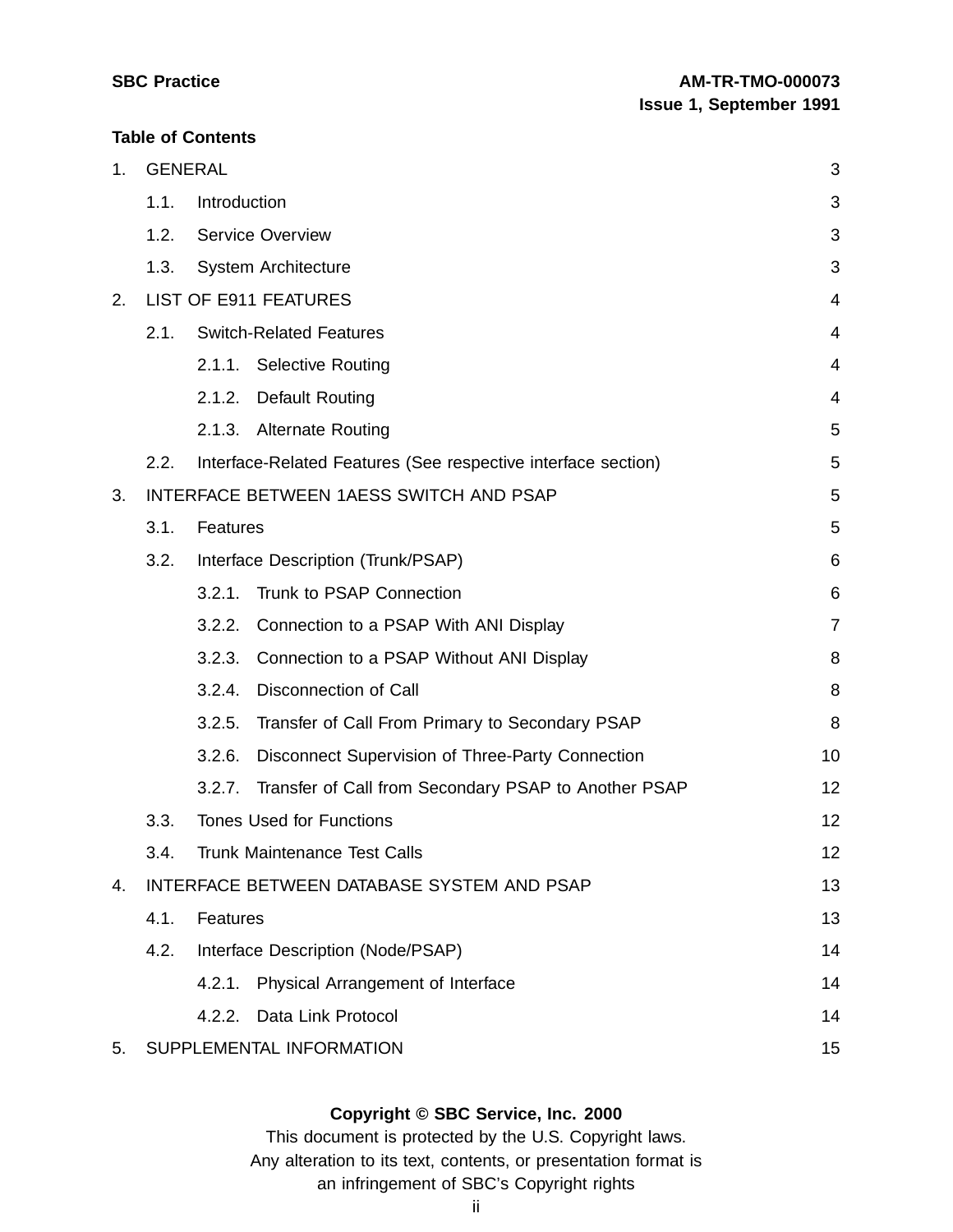#### **Table of Contents**

| 1. |      | <b>GENERAL</b>                                                 | 3              |  |  |
|----|------|----------------------------------------------------------------|----------------|--|--|
|    | 1.1. | Introduction                                                   | 3              |  |  |
|    | 1.2. | <b>Service Overview</b>                                        | 3              |  |  |
|    | 1.3. | System Architecture                                            | 3              |  |  |
| 2. |      | <b>LIST OF E911 FEATURES</b>                                   | 4              |  |  |
|    | 2.1. | <b>Switch-Related Features</b>                                 | 4              |  |  |
|    |      | 2.1.1. Selective Routing                                       | 4              |  |  |
|    |      | 2.1.2.<br><b>Default Routing</b>                               | 4              |  |  |
|    |      | 2.1.3.<br><b>Alternate Routing</b>                             | 5              |  |  |
|    | 2.2. | Interface-Related Features (See respective interface section)  | 5              |  |  |
| 3. |      | INTERFACE BETWEEN 1AESS SWITCH AND PSAP                        | 5              |  |  |
|    | 3.1. | Features                                                       | 5              |  |  |
|    | 3.2. | Interface Description (Trunk/PSAP)                             | 6              |  |  |
|    |      | Trunk to PSAP Connection<br>3.2.1.                             | 6              |  |  |
|    |      | Connection to a PSAP With ANI Display<br>3.2.2.                | $\overline{7}$ |  |  |
|    |      | 3.2.3.<br>Connection to a PSAP Without ANI Display             | 8              |  |  |
|    |      | 3.2.4.<br><b>Disconnection of Call</b>                         | 8              |  |  |
|    |      | Transfer of Call From Primary to Secondary PSAP<br>3.2.5.      | 8              |  |  |
|    |      | 3.2.6.<br>Disconnect Supervision of Three-Party Connection     | 10             |  |  |
|    |      | Transfer of Call from Secondary PSAP to Another PSAP<br>3.2.7. | 12             |  |  |
|    | 3.3. | <b>Tones Used for Functions</b>                                | 12             |  |  |
|    | 3.4. | Trunk Maintenance Test Calls                                   | 12             |  |  |
| 4. |      | INTERFACE BETWEEN DATABASE SYSTEM AND PSAP                     |                |  |  |
|    | 4.1. | Features                                                       | 13             |  |  |
|    | 4.2. | Interface Description (Node/PSAP)                              | 14             |  |  |
|    |      | Physical Arrangement of Interface<br>4.2.1.                    | 14             |  |  |
|    |      | Data Link Protocol<br>4.2.2.                                   | 14             |  |  |
| 5. |      | SUPPLEMENTAL INFORMATION                                       | 15             |  |  |

### **Copyright © SBC Service, Inc. 2000**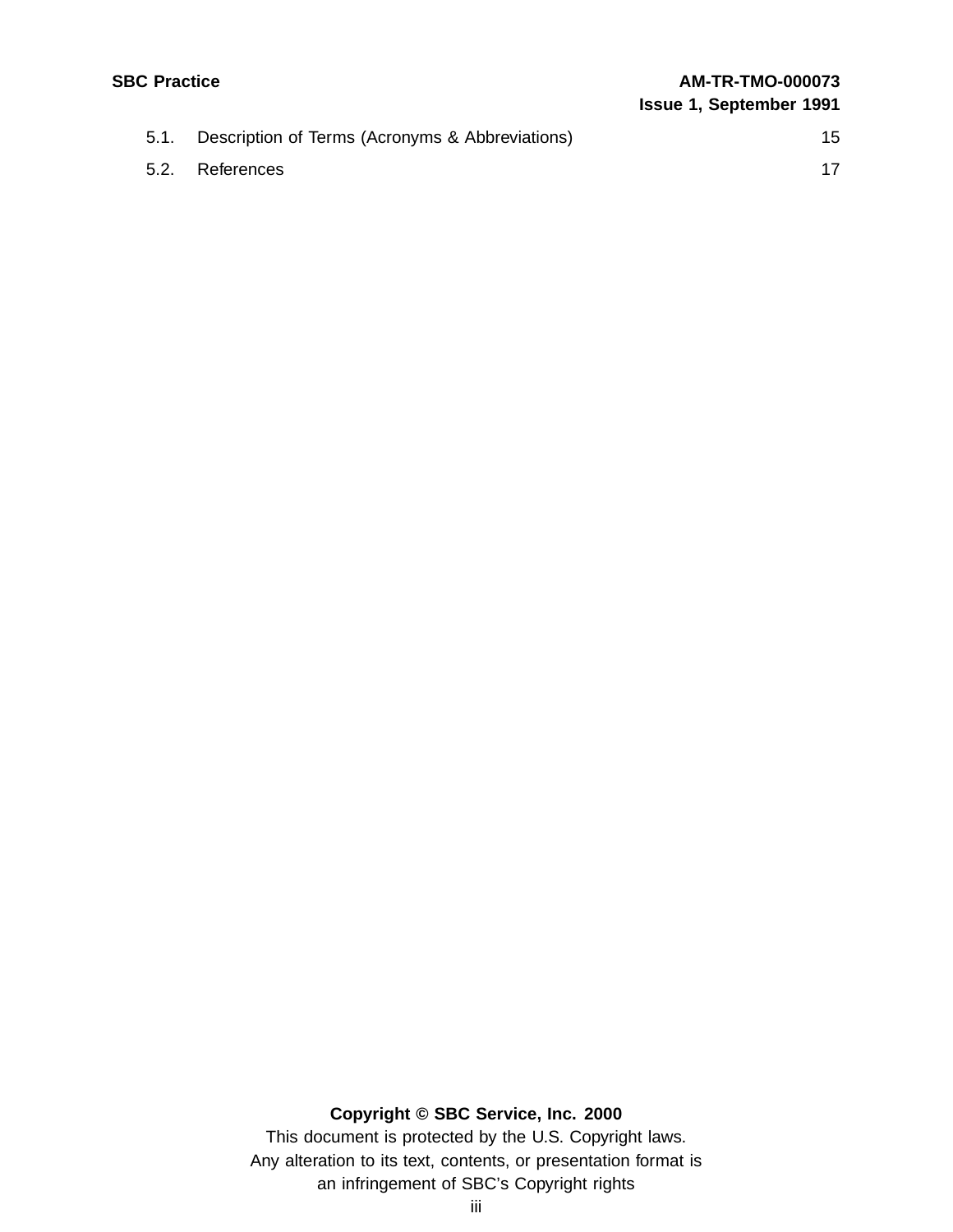| <b>SBC Practice</b> |                                                 | <b>AM-TR-TMO-000073</b><br><b>Issue 1, September 1991</b> |  |
|---------------------|-------------------------------------------------|-----------------------------------------------------------|--|
| 5.1.                | Description of Terms (Acronyms & Abbreviations) | 15                                                        |  |
| 5.2.                | References                                      | 17                                                        |  |
|                     |                                                 |                                                           |  |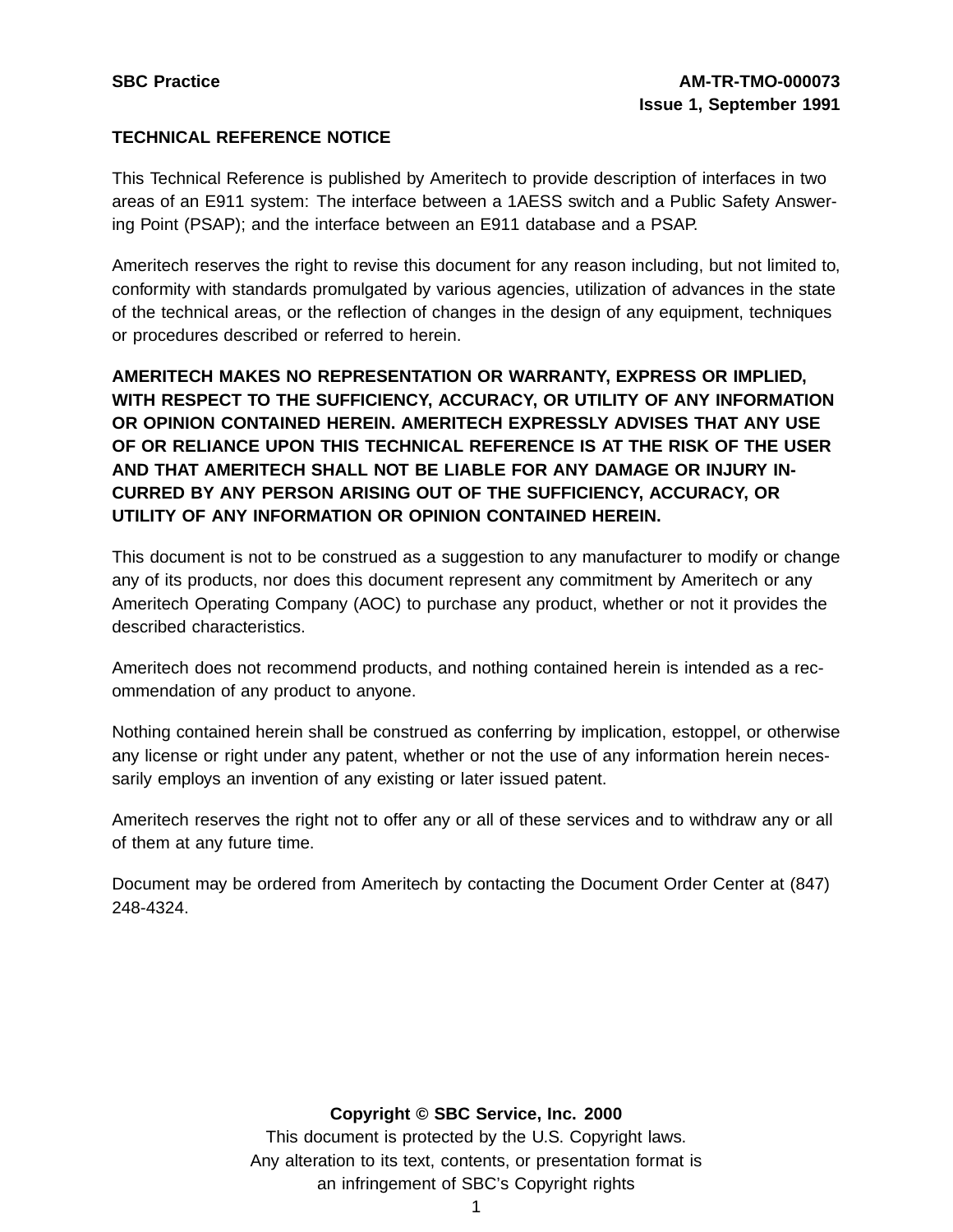### **TECHNICAL REFERENCE NOTICE**

This Technical Reference is published by Ameritech to provide description of interfaces in two areas of an E911 system: The interface between a 1AESS switch and a Public Safety Answering Point (PSAP); and the interface between an E911 database and a PSAP.

Ameritech reserves the right to revise this document for any reason including, but not limited to, conformity with standards promulgated by various agencies, utilization of advances in the state of the technical areas, or the reflection of changes in the design of any equipment, techniques or procedures described or referred to herein.

**AMERITECH MAKES NO REPRESENTATION OR WARRANTY, EXPRESS OR IMPLIED, WITH RESPECT TO THE SUFFICIENCY, ACCURACY, OR UTILITY OF ANY INFORMATION OR OPINION CONTAINED HEREIN. AMERITECH EXPRESSLY ADVISES THAT ANY USE OF OR RELIANCE UPON THIS TECHNICAL REFERENCE IS AT THE RISK OF THE USER AND THAT AMERITECH SHALL NOT BE LIABLE FOR ANY DAMAGE OR INJURY IN-CURRED BY ANY PERSON ARISING OUT OF THE SUFFICIENCY, ACCURACY, OR UTILITY OF ANY INFORMATION OR OPINION CONTAINED HEREIN.**

This document is not to be construed as a suggestion to any manufacturer to modify or change any of its products, nor does this document represent any commitment by Ameritech or any Ameritech Operating Company (AOC) to purchase any product, whether or not it provides the described characteristics.

Ameritech does not recommend products, and nothing contained herein is intended as a recommendation of any product to anyone.

Nothing contained herein shall be construed as conferring by implication, estoppel, or otherwise any license or right under any patent, whether or not the use of any information herein necessarily employs an invention of any existing or later issued patent.

Ameritech reserves the right not to offer any or all of these services and to withdraw any or all of them at any future time.

Document may be ordered from Ameritech by contacting the Document Order Center at (847) 248-4324.

#### **Copyright © SBC Service, Inc. 2000**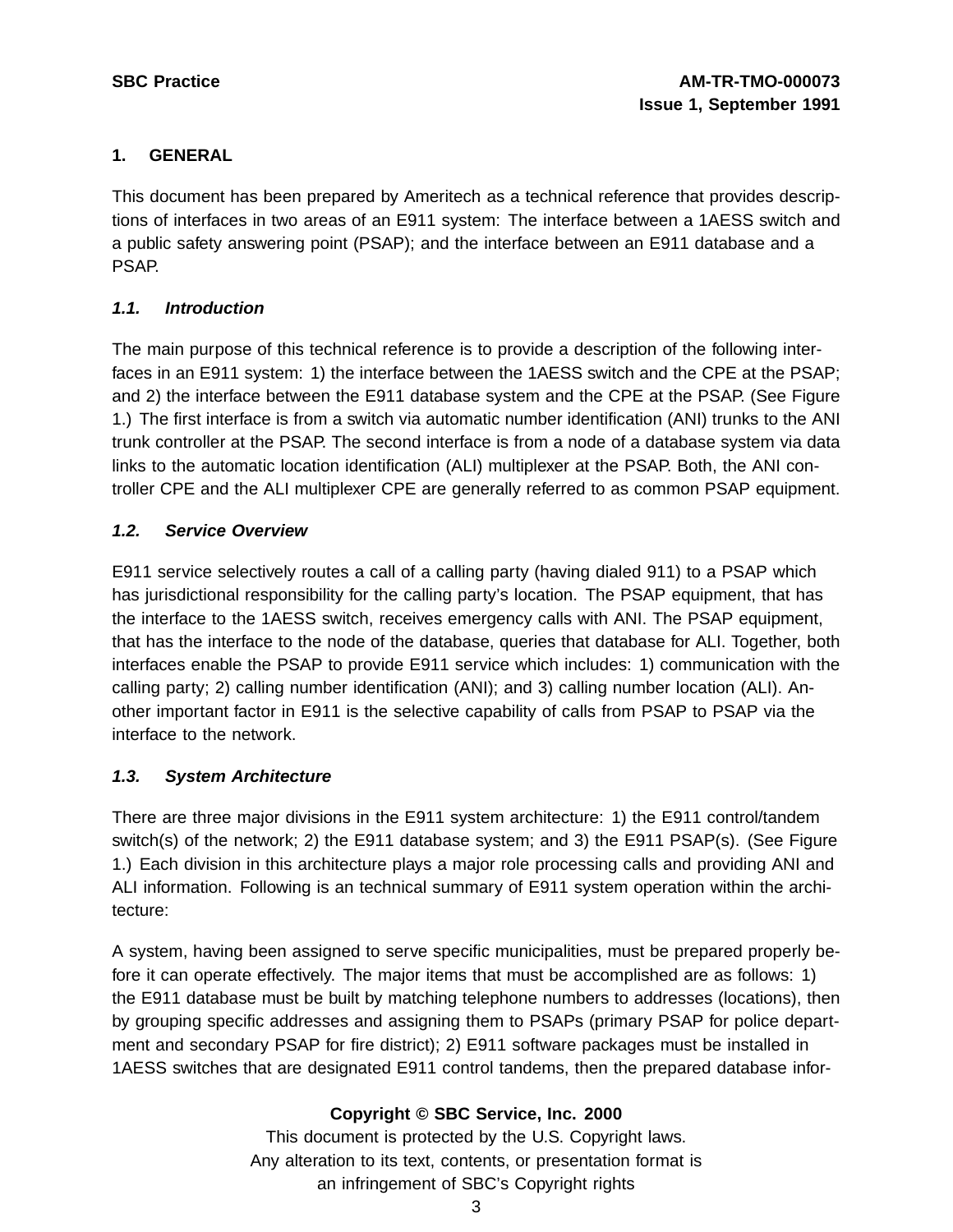### **1. GENERAL**

This document has been prepared by Ameritech as a technical reference that provides descriptions of interfaces in two areas of an E911 system: The interface between a 1AESS switch and a public safety answering point (PSAP); and the interface between an E911 database and a PSAP.

### **1.1. Introduction**

The main purpose of this technical reference is to provide a description of the following interfaces in an E911 system: 1) the interface between the 1AESS switch and the CPE at the PSAP; and 2) the interface between the E911 database system and the CPE at the PSAP. (See Figure 1.) The first interface is from a switch via automatic number identification (ANI) trunks to the ANI trunk controller at the PSAP. The second interface is from a node of a database system via data links to the automatic location identification (ALI) multiplexer at the PSAP. Both, the ANI controller CPE and the ALI multiplexer CPE are generally referred to as common PSAP equipment.

#### **1.2. Service Overview**

E911 service selectively routes a call of a calling party (having dialed 911) to a PSAP which has jurisdictional responsibility for the calling party's location. The PSAP equipment, that has the interface to the 1AESS switch, receives emergency calls with ANI. The PSAP equipment, that has the interface to the node of the database, queries that database for ALI. Together, both interfaces enable the PSAP to provide E911 service which includes: 1) communication with the calling party; 2) calling number identification (ANI); and 3) calling number location (ALI). Another important factor in E911 is the selective capability of calls from PSAP to PSAP via the interface to the network.

### **1.3. System Architecture**

There are three major divisions in the E911 system architecture: 1) the E911 control/tandem switch(s) of the network; 2) the E911 database system; and 3) the E911 PSAP(s). (See Figure 1.) Each division in this architecture plays a major role processing calls and providing ANI and ALI information. Following is an technical summary of E911 system operation within the architecture:

A system, having been assigned to serve specific municipalities, must be prepared properly before it can operate effectively. The major items that must be accomplished are as follows: 1) the E911 database must be built by matching telephone numbers to addresses (locations), then by grouping specific addresses and assigning them to PSAPs (primary PSAP for police department and secondary PSAP for fire district); 2) E911 software packages must be installed in 1AESS switches that are designated E911 control tandems, then the prepared database infor-

### **Copyright © SBC Service, Inc. 2000**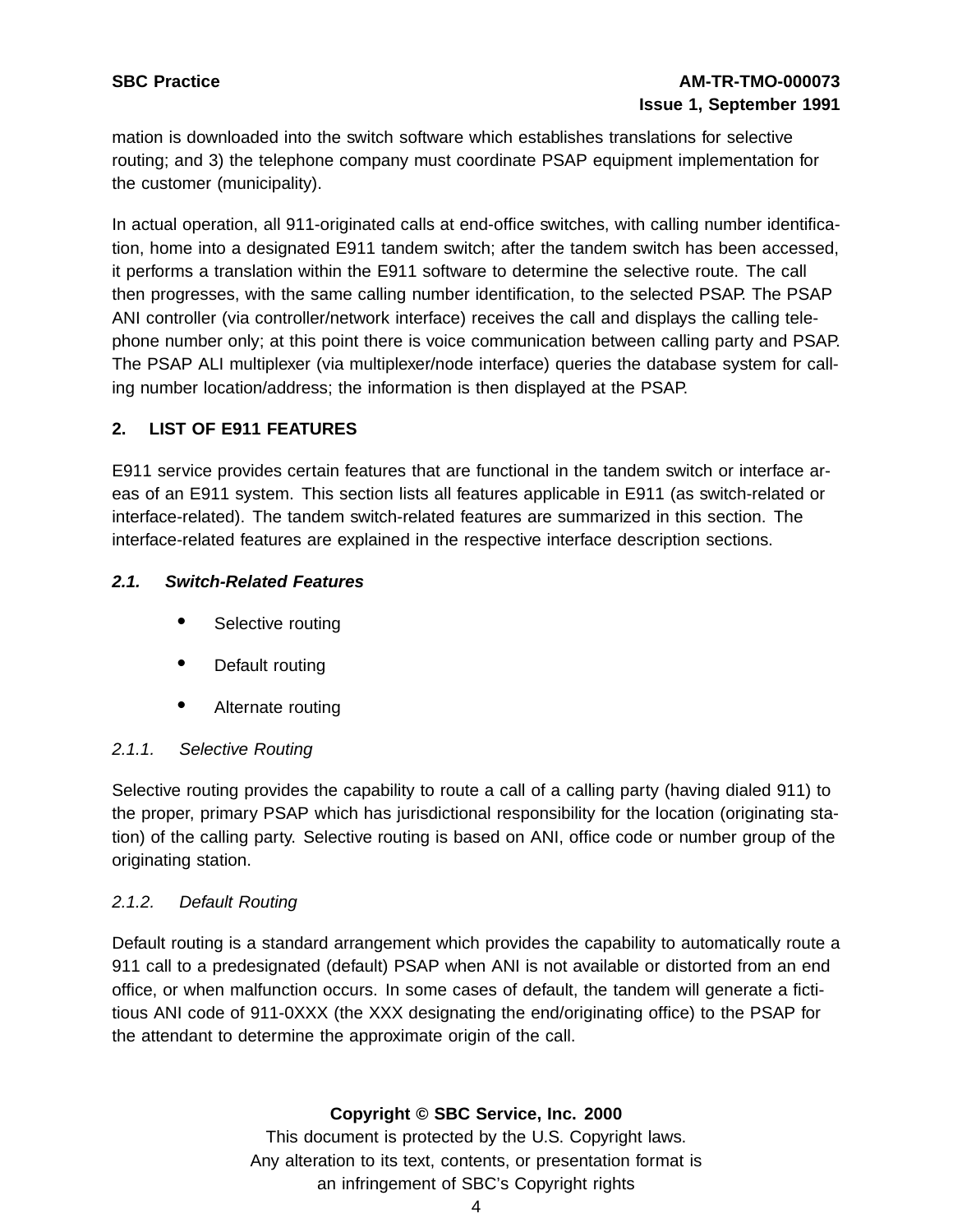# **SBC Practice AM-TR-TMO-000073 Issue 1, September 1991**

mation is downloaded into the switch software which establishes translations for selective routing; and 3) the telephone company must coordinate PSAP equipment implementation for the customer (municipality).

In actual operation, all 911-originated calls at end-office switches, with calling number identification, home into a designated E911 tandem switch; after the tandem switch has been accessed, it performs a translation within the E911 software to determine the selective route. The call then progresses, with the same calling number identification, to the selected PSAP. The PSAP ANI controller (via controller/network interface) receives the call and displays the calling telephone number only; at this point there is voice communication between calling party and PSAP. The PSAP ALI multiplexer (via multiplexer/node interface) queries the database system for calling number location/address; the information is then displayed at the PSAP.

# **2. LIST OF E911 FEATURES**

E911 service provides certain features that are functional in the tandem switch or interface areas of an E911 system. This section lists all features applicable in E911 (as switch-related or interface-related). The tandem switch-related features are summarized in this section. The interface-related features are explained in the respective interface description sections.

### **2.1. Switch-Related Features**

- Selective routing
- Default routing
- Alternate routing

### 2.1.1. Selective Routing

Selective routing provides the capability to route a call of a calling party (having dialed 911) to the proper, primary PSAP which has jurisdictional responsibility for the location (originating station) of the calling party. Selective routing is based on ANI, office code or number group of the originating station.

### 2.1.2. Default Routing

Default routing is a standard arrangement which provides the capability to automatically route a 911 call to a predesignated (default) PSAP when ANI is not available or distorted from an end office, or when malfunction occurs. In some cases of default, the tandem will generate a fictitious ANI code of 911-0XXX (the XXX designating the end/originating office) to the PSAP for the attendant to determine the approximate origin of the call.

### **Copyright © SBC Service, Inc. 2000**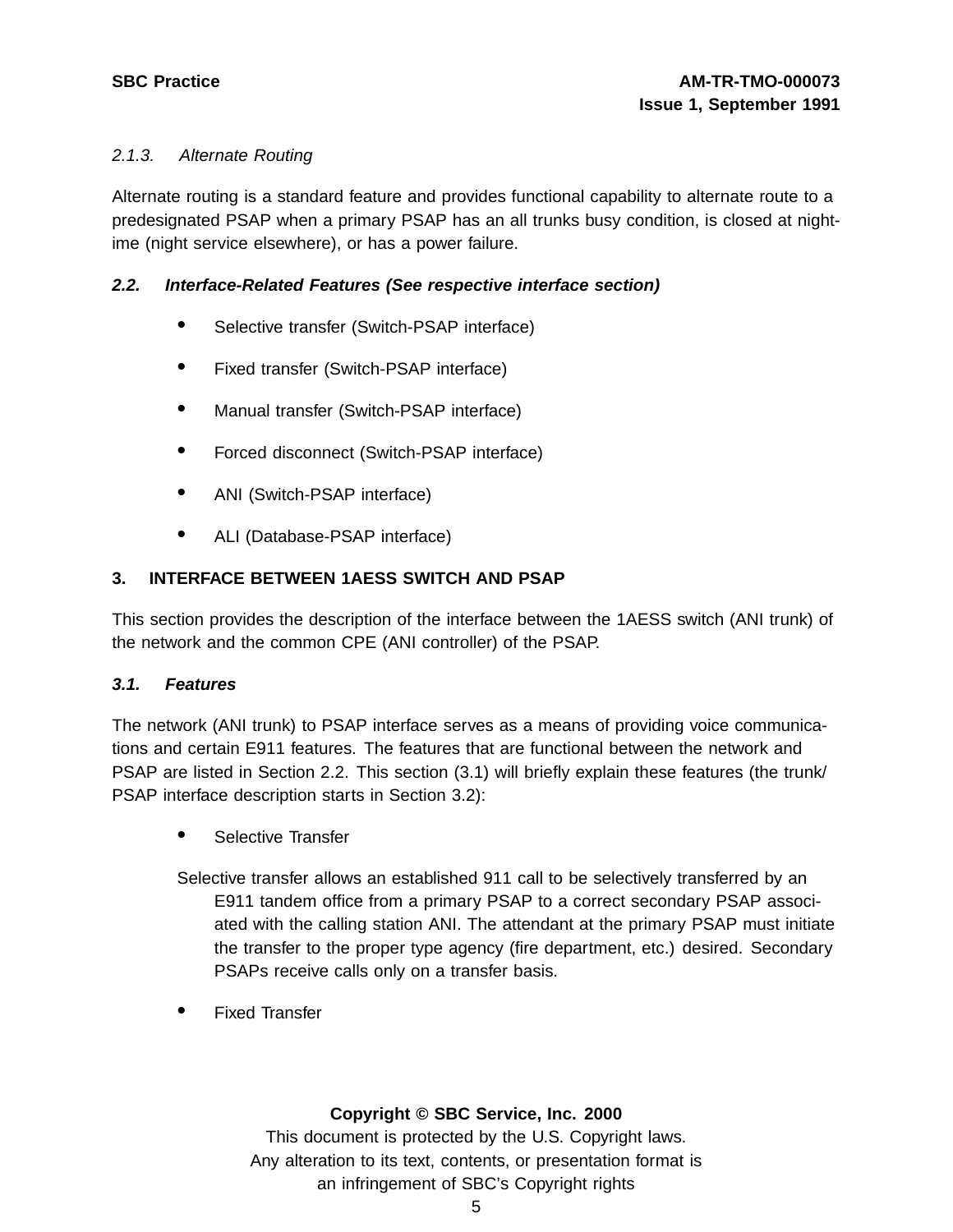### 2.1.3. Alternate Routing

Alternate routing is a standard feature and provides functional capability to alternate route to a predesignated PSAP when a primary PSAP has an all trunks busy condition, is closed at nightime (night service elsewhere), or has a power failure.

### **2.2. Interface-Related Features (See respective interface section)**

- Selective transfer (Switch-PSAP interface)
- Fixed transfer (Switch-PSAP interface)
- Manual transfer (Switch-PSAP interface)
- Forced disconnect (Switch-PSAP interface)
- ANI (Switch-PSAP interface)
- ALI (Database-PSAP interface)

### **3. INTERFACE BETWEEN 1AESS SWITCH AND PSAP**

This section provides the description of the interface between the 1AESS switch (ANI trunk) of the network and the common CPE (ANI controller) of the PSAP.

#### **3.1. Features**

The network (ANI trunk) to PSAP interface serves as a means of providing voice communications and certain E911 features. The features that are functional between the network and PSAP are listed in Section 2.2. This section (3.1) will briefly explain these features (the trunk/ PSAP interface description starts in Section 3.2):

• Selective Transfer

Selective transfer allows an established 911 call to be selectively transferred by an E911 tandem office from a primary PSAP to a correct secondary PSAP associated with the calling station ANI. The attendant at the primary PSAP must initiate the transfer to the proper type agency (fire department, etc.) desired. Secondary PSAPs receive calls only on a transfer basis.

• Fixed Transfer

#### **Copyright © SBC Service, Inc. 2000**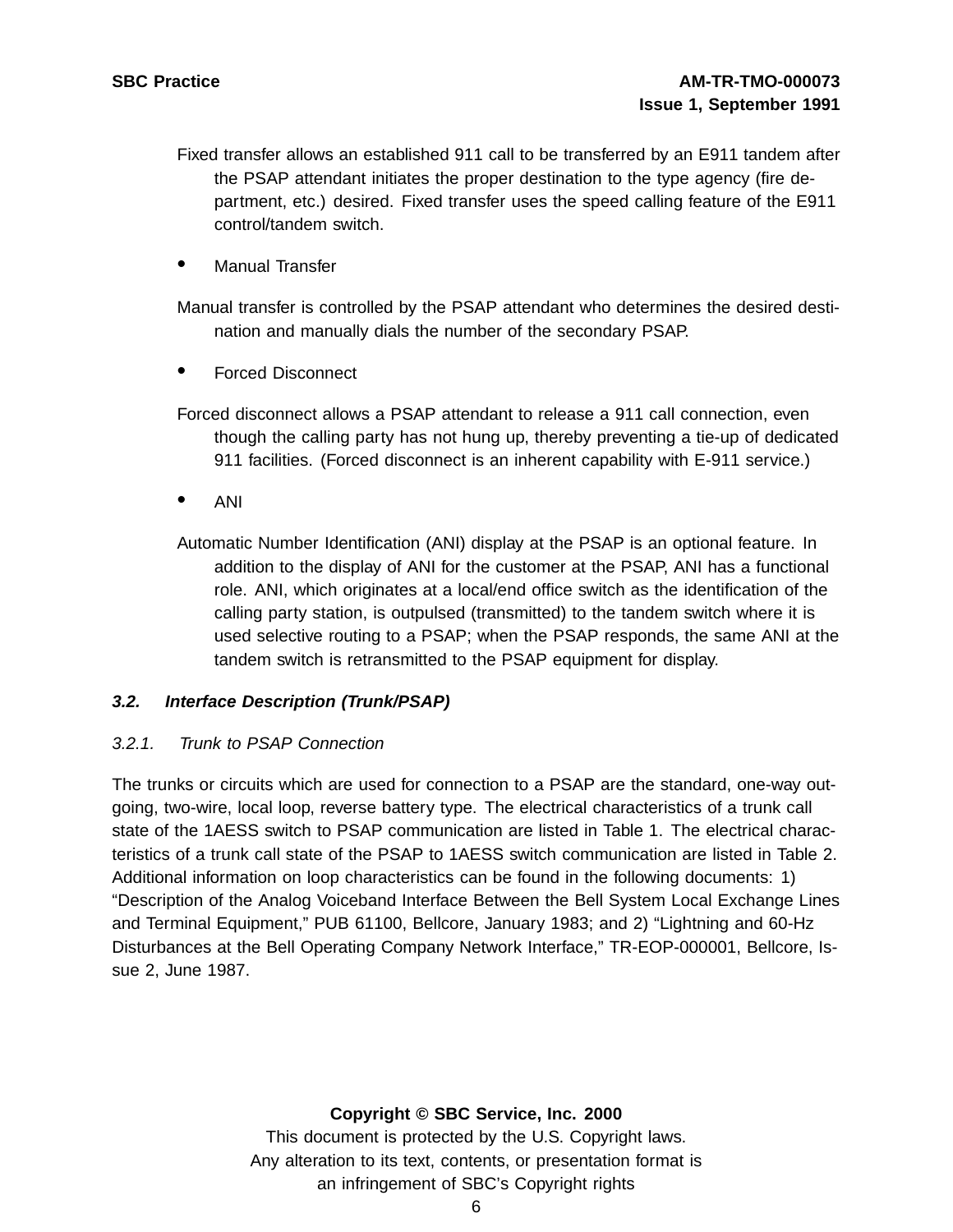Fixed transfer allows an established 911 call to be transferred by an E911 tandem after the PSAP attendant initiates the proper destination to the type agency (fire department, etc.) desired. Fixed transfer uses the speed calling feature of the E911 control/tandem switch.

Manual Transfer

Manual transfer is controlled by the PSAP attendant who determines the desired destination and manually dials the number of the secondary PSAP.

• Forced Disconnect

Forced disconnect allows a PSAP attendant to release a 911 call connection, even though the calling party has not hung up, thereby preventing a tie-up of dedicated 911 facilities. (Forced disconnect is an inherent capability with E-911 service.)

• ANI

Automatic Number Identification (ANI) display at the PSAP is an optional feature. In addition to the display of ANI for the customer at the PSAP, ANI has a functional role. ANI, which originates at a local/end office switch as the identification of the calling party station, is outpulsed (transmitted) to the tandem switch where it is used selective routing to a PSAP; when the PSAP responds, the same ANI at the tandem switch is retransmitted to the PSAP equipment for display.

#### **3.2. Interface Description (Trunk/PSAP)**

#### 3.2.1. Trunk to PSAP Connection

The trunks or circuits which are used for connection to a PSAP are the standard, one-way outgoing, two-wire, local loop, reverse battery type. The electrical characteristics of a trunk call state of the 1AESS switch to PSAP communication are listed in Table 1. The electrical characteristics of a trunk call state of the PSAP to 1AESS switch communication are listed in Table 2. Additional information on loop characteristics can be found in the following documents: 1) "Description of the Analog Voiceband Interface Between the Bell System Local Exchange Lines and Terminal Equipment," PUB 61100, Bellcore, January 1983; and 2) "Lightning and 60-Hz Disturbances at the Bell Operating Company Network Interface," TR-EOP-000001, Bellcore, Issue 2, June 1987.

#### **Copyright © SBC Service, Inc. 2000**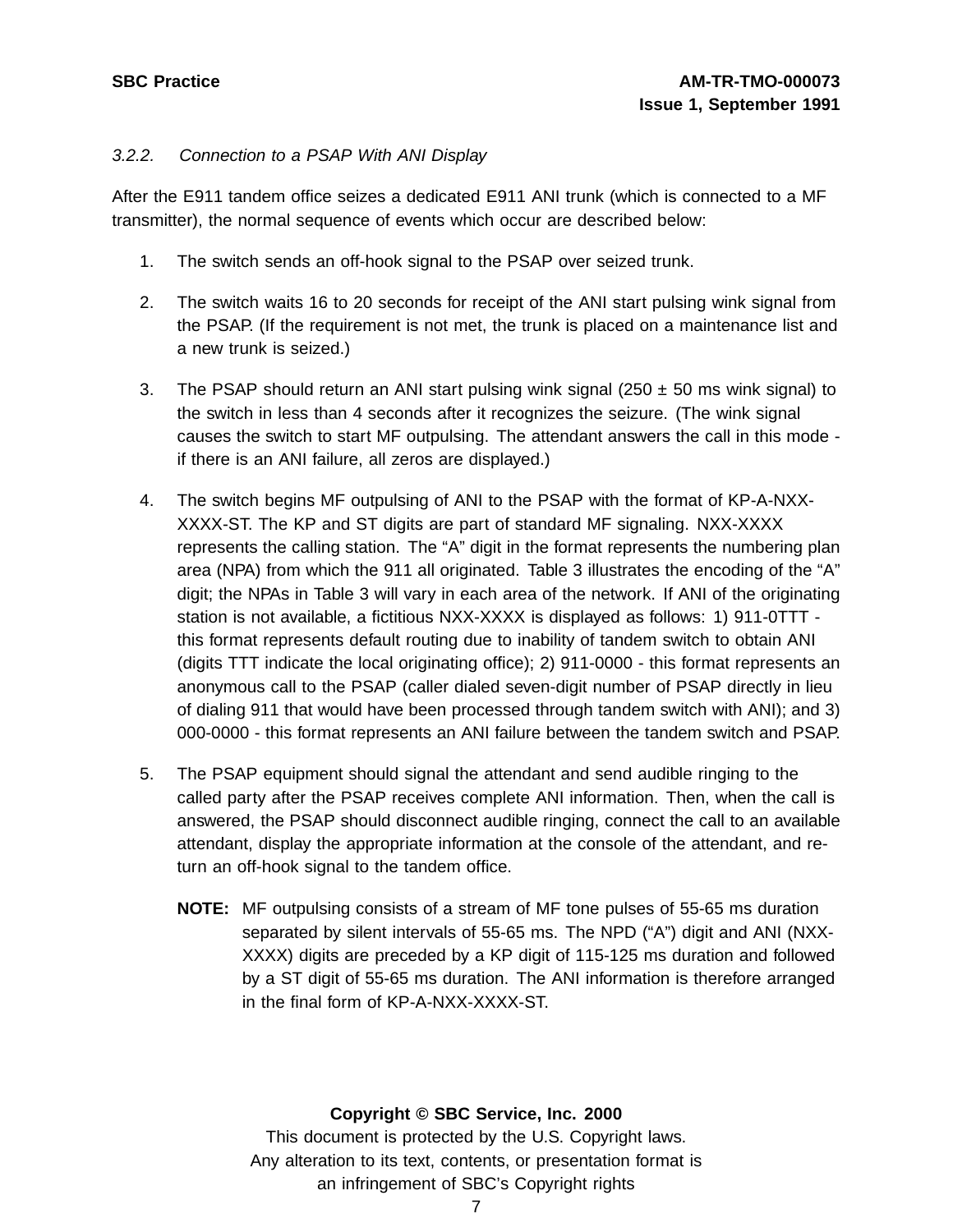#### 3.2.2. Connection to a PSAP With ANI Display

After the E911 tandem office seizes a dedicated E911 ANI trunk (which is connected to a MF transmitter), the normal sequence of events which occur are described below:

- 1. The switch sends an off-hook signal to the PSAP over seized trunk.
- 2. The switch waits 16 to 20 seconds for receipt of the ANI start pulsing wink signal from the PSAP. (If the requirement is not met, the trunk is placed on a maintenance list and a new trunk is seized.)
- 3. The PSAP should return an ANI start pulsing wink signal (250  $\pm$  50 ms wink signal) to the switch in less than 4 seconds after it recognizes the seizure. (The wink signal causes the switch to start MF outpulsing. The attendant answers the call in this mode if there is an ANI failure, all zeros are displayed.)
- 4. The switch begins MF outpulsing of ANI to the PSAP with the format of KP-A-NXX-XXXX-ST. The KP and ST digits are part of standard MF signaling. NXX-XXXX represents the calling station. The "A" digit in the format represents the numbering plan area (NPA) from which the 911 all originated. Table 3 illustrates the encoding of the "A" digit; the NPAs in Table 3 will vary in each area of the network. If ANI of the originating station is not available, a fictitious NXX-XXXX is displayed as follows: 1) 911-0TTT this format represents default routing due to inability of tandem switch to obtain ANI (digits TTT indicate the local originating office); 2) 911-0000 - this format represents an anonymous call to the PSAP (caller dialed seven-digit number of PSAP directly in lieu of dialing 911 that would have been processed through tandem switch with ANI); and 3) 000-0000 - this format represents an ANI failure between the tandem switch and PSAP.
- 5. The PSAP equipment should signal the attendant and send audible ringing to the called party after the PSAP receives complete ANI information. Then, when the call is answered, the PSAP should disconnect audible ringing, connect the call to an available attendant, display the appropriate information at the console of the attendant, and return an off-hook signal to the tandem office.
	- **NOTE:** MF outpulsing consists of a stream of MF tone pulses of 55-65 ms duration separated by silent intervals of 55-65 ms. The NPD ("A") digit and ANI (NXX-XXXX) digits are preceded by a KP digit of 115-125 ms duration and followed by a ST digit of 55-65 ms duration. The ANI information is therefore arranged in the final form of KP-A-NXX-XXXX-ST.

#### **Copyright © SBC Service, Inc. 2000**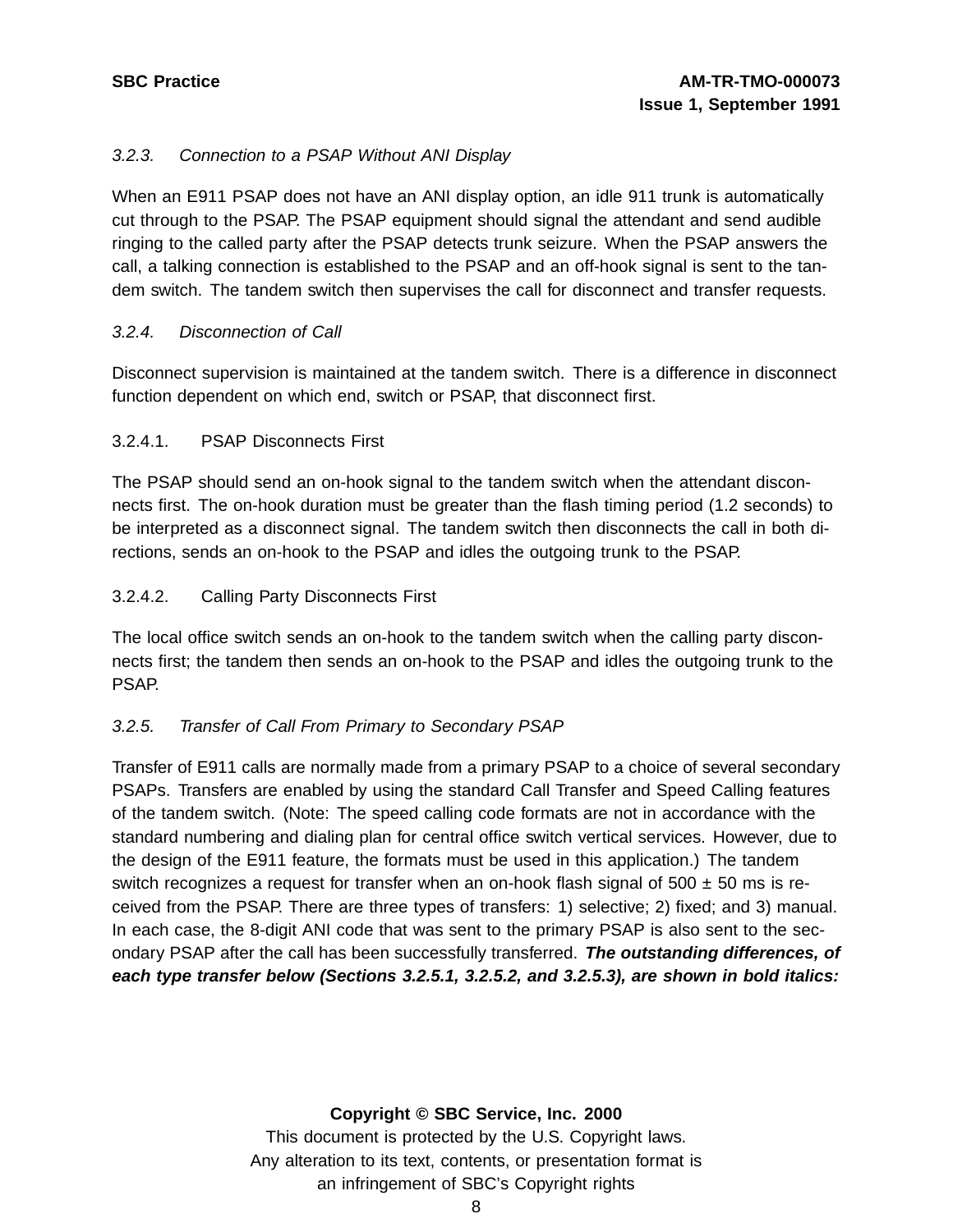### 3.2.3. Connection to a PSAP Without ANI Display

When an E911 PSAP does not have an ANI display option, an idle 911 trunk is automatically cut through to the PSAP. The PSAP equipment should signal the attendant and send audible ringing to the called party after the PSAP detects trunk seizure. When the PSAP answers the call, a talking connection is established to the PSAP and an off-hook signal is sent to the tandem switch. The tandem switch then supervises the call for disconnect and transfer requests.

#### 3.2.4. Disconnection of Call

Disconnect supervision is maintained at the tandem switch. There is a difference in disconnect function dependent on which end, switch or PSAP, that disconnect first.

### 3.2.4.1. PSAP Disconnects First

The PSAP should send an on-hook signal to the tandem switch when the attendant disconnects first. The on-hook duration must be greater than the flash timing period (1.2 seconds) to be interpreted as a disconnect signal. The tandem switch then disconnects the call in both directions, sends an on-hook to the PSAP and idles the outgoing trunk to the PSAP.

#### 3.2.4.2. Calling Party Disconnects First

The local office switch sends an on-hook to the tandem switch when the calling party disconnects first; the tandem then sends an on-hook to the PSAP and idles the outgoing trunk to the PSAP.

#### 3.2.5. Transfer of Call From Primary to Secondary PSAP

Transfer of E911 calls are normally made from a primary PSAP to a choice of several secondary PSAPs. Transfers are enabled by using the standard Call Transfer and Speed Calling features of the tandem switch. (Note: The speed calling code formats are not in accordance with the standard numbering and dialing plan for central office switch vertical services. However, due to the design of the E911 feature, the formats must be used in this application.) The tandem switch recognizes a request for transfer when an on-hook flash signal of  $500 \pm 50$  ms is received from the PSAP. There are three types of transfers: 1) selective; 2) fixed; and 3) manual. In each case, the 8-digit ANI code that was sent to the primary PSAP is also sent to the secondary PSAP after the call has been successfully transferred. **The outstanding differences, of each type transfer below (Sections 3.2.5.1, 3.2.5.2, and 3.2.5.3), are shown in bold italics:**

#### **Copyright © SBC Service, Inc. 2000**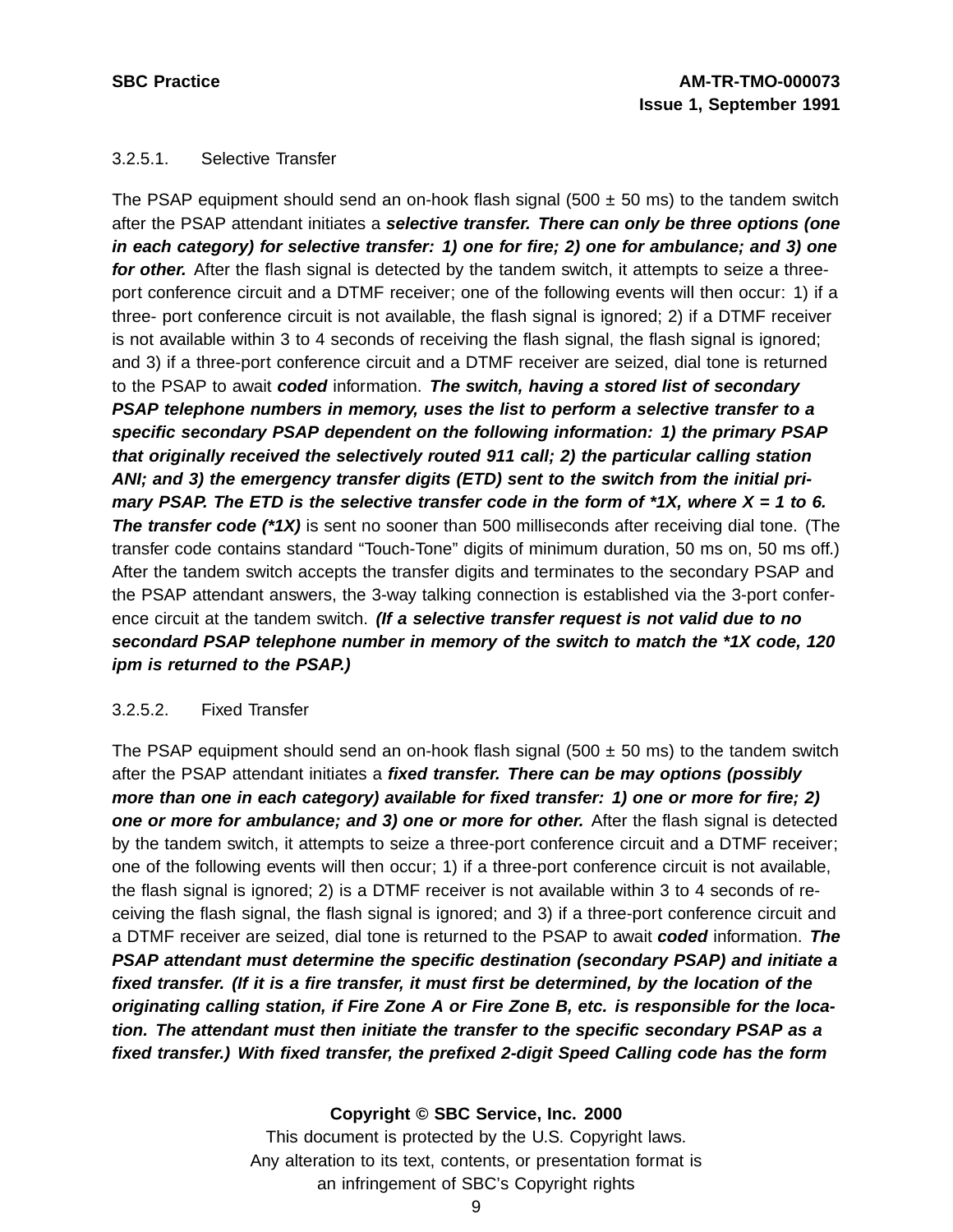#### 3.2.5.1. Selective Transfer

The PSAP equipment should send an on-hook flash signal (500  $\pm$  50 ms) to the tandem switch after the PSAP attendant initiates a **selective transfer. There can only be three options (one in each category) for selective transfer: 1) one for fire; 2) one for ambulance; and 3) one for other.** After the flash signal is detected by the tandem switch, it attempts to seize a threeport conference circuit and a DTMF receiver; one of the following events will then occur: 1) if a three- port conference circuit is not available, the flash signal is ignored; 2) if a DTMF receiver is not available within 3 to 4 seconds of receiving the flash signal, the flash signal is ignored; and 3) if a three-port conference circuit and a DTMF receiver are seized, dial tone is returned to the PSAP to await **coded** information. **The switch, having a stored list of secondary PSAP telephone numbers in memory, uses the list to perform a selective transfer to a specific secondary PSAP dependent on the following information: 1) the primary PSAP that originally received the selectively routed 911 call; 2) the particular calling station ANI; and 3) the emergency transfer digits (ETD) sent to the switch from the initial pri**mary PSAP. The ETD is the selective transfer code in the form of  $*1X$ , where  $X = 1$  to 6. **The transfer code (\*1X)** is sent no sooner than 500 milliseconds after receiving dial tone. (The transfer code contains standard "Touch-Tone" digits of minimum duration, 50 ms on, 50 ms off.) After the tandem switch accepts the transfer digits and terminates to the secondary PSAP and the PSAP attendant answers, the 3-way talking connection is established via the 3-port conference circuit at the tandem switch. **(If a selective transfer request is not valid due to no secondard PSAP telephone number in memory of the switch to match the \*1X code, 120 ipm is returned to the PSAP.)**

#### 3.2.5.2. Fixed Transfer

The PSAP equipment should send an on-hook flash signal (500  $\pm$  50 ms) to the tandem switch after the PSAP attendant initiates a **fixed transfer. There can be may options (possibly more than one in each category) available for fixed transfer: 1) one or more for fire; 2) one or more for ambulance; and 3) one or more for other.** After the flash signal is detected by the tandem switch, it attempts to seize a three-port conference circuit and a DTMF receiver; one of the following events will then occur; 1) if a three-port conference circuit is not available, the flash signal is ignored; 2) is a DTMF receiver is not available within 3 to 4 seconds of receiving the flash signal, the flash signal is ignored; and 3) if a three-port conference circuit and a DTMF receiver are seized, dial tone is returned to the PSAP to await **coded** information. **The PSAP attendant must determine the specific destination (secondary PSAP) and initiate a fixed transfer. (If it is a fire transfer, it must first be determined, by the location of the originating calling station, if Fire Zone A or Fire Zone B, etc. is responsible for the location. The attendant must then initiate the transfer to the specific secondary PSAP as a fixed transfer.) With fixed transfer, the prefixed 2-digit Speed Calling code has the form**

#### **Copyright © SBC Service, Inc. 2000**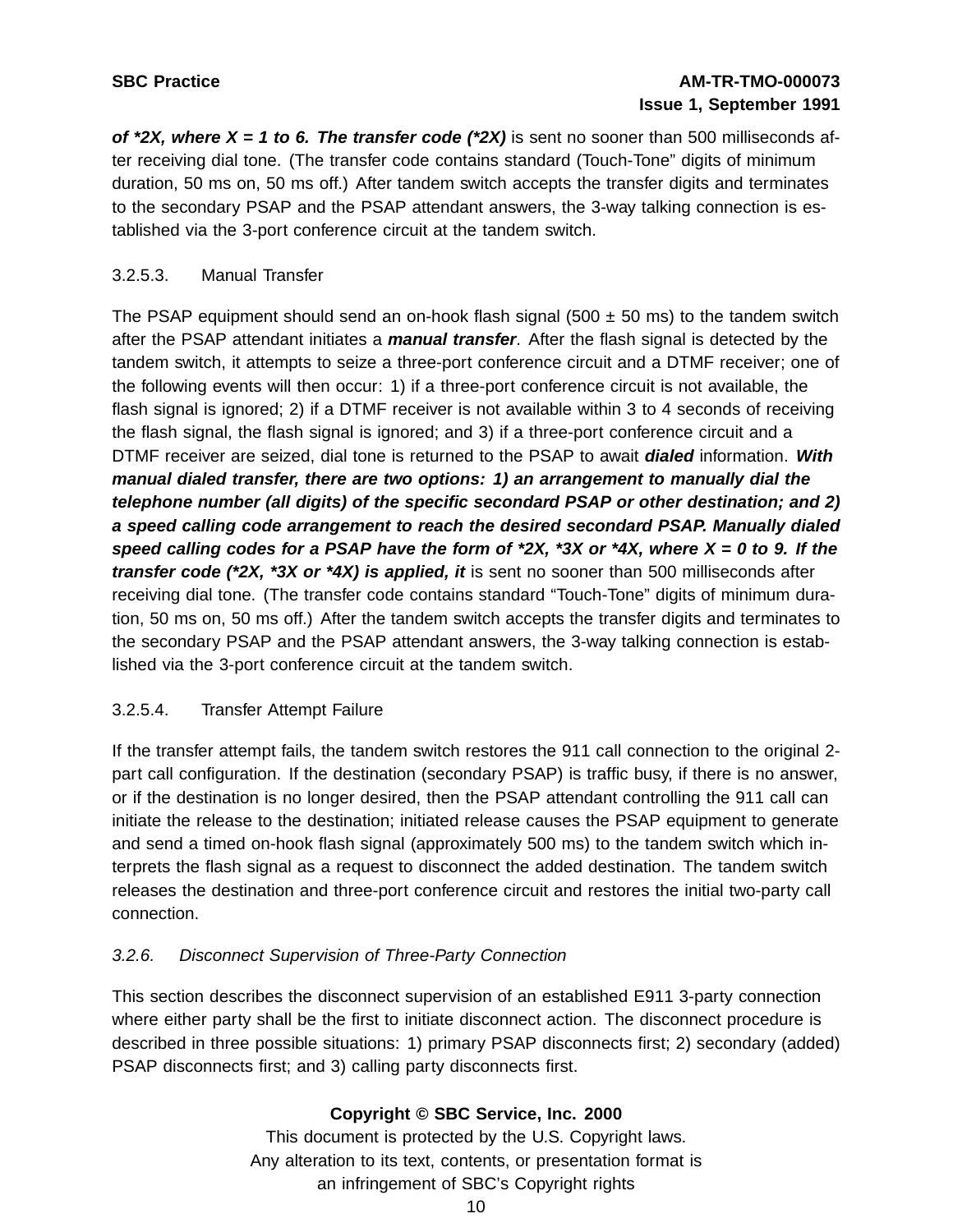# **SBC Practice AM-TR-TMO-000073 Issue 1, September 1991**

**of \*2X, where X = 1 to 6. The transfer code (\*2X)** is sent no sooner than 500 milliseconds after receiving dial tone. (The transfer code contains standard (Touch-Tone" digits of minimum duration, 50 ms on, 50 ms off.) After tandem switch accepts the transfer digits and terminates to the secondary PSAP and the PSAP attendant answers, the 3-way talking connection is established via the 3-port conference circuit at the tandem switch.

### 3.2.5.3. Manual Transfer

The PSAP equipment should send an on-hook flash signal (500  $\pm$  50 ms) to the tandem switch after the PSAP attendant initiates a **manual transfer**. After the flash signal is detected by the tandem switch, it attempts to seize a three-port conference circuit and a DTMF receiver; one of the following events will then occur: 1) if a three-port conference circuit is not available, the flash signal is ignored; 2) if a DTMF receiver is not available within 3 to 4 seconds of receiving the flash signal, the flash signal is ignored; and 3) if a three-port conference circuit and a DTMF receiver are seized, dial tone is returned to the PSAP to await **dialed** information. **With manual dialed transfer, there are two options: 1) an arrangement to manually dial the telephone number (all digits) of the specific secondard PSAP or other destination; and 2) a speed calling code arrangement to reach the desired secondard PSAP. Manually dialed** speed calling codes for a PSAP have the form of \*2X, \*3X or \*4X, where  $X = 0$  to 9. If the **transfer code (\*2X, \*3X or \*4X) is applied, it** is sent no sooner than 500 milliseconds after receiving dial tone. (The transfer code contains standard "Touch-Tone" digits of minimum duration, 50 ms on, 50 ms off.) After the tandem switch accepts the transfer digits and terminates to the secondary PSAP and the PSAP attendant answers, the 3-way talking connection is established via the 3-port conference circuit at the tandem switch.

### 3.2.5.4. Transfer Attempt Failure

If the transfer attempt fails, the tandem switch restores the 911 call connection to the original 2 part call configuration. If the destination (secondary PSAP) is traffic busy, if there is no answer, or if the destination is no longer desired, then the PSAP attendant controlling the 911 call can initiate the release to the destination; initiated release causes the PSAP equipment to generate and send a timed on-hook flash signal (approximately 500 ms) to the tandem switch which interprets the flash signal as a request to disconnect the added destination. The tandem switch releases the destination and three-port conference circuit and restores the initial two-party call connection.

### 3.2.6. Disconnect Supervision of Three-Party Connection

This section describes the disconnect supervision of an established E911 3-party connection where either party shall be the first to initiate disconnect action. The disconnect procedure is described in three possible situations: 1) primary PSAP disconnects first; 2) secondary (added) PSAP disconnects first; and 3) calling party disconnects first.

### **Copyright © SBC Service, Inc. 2000**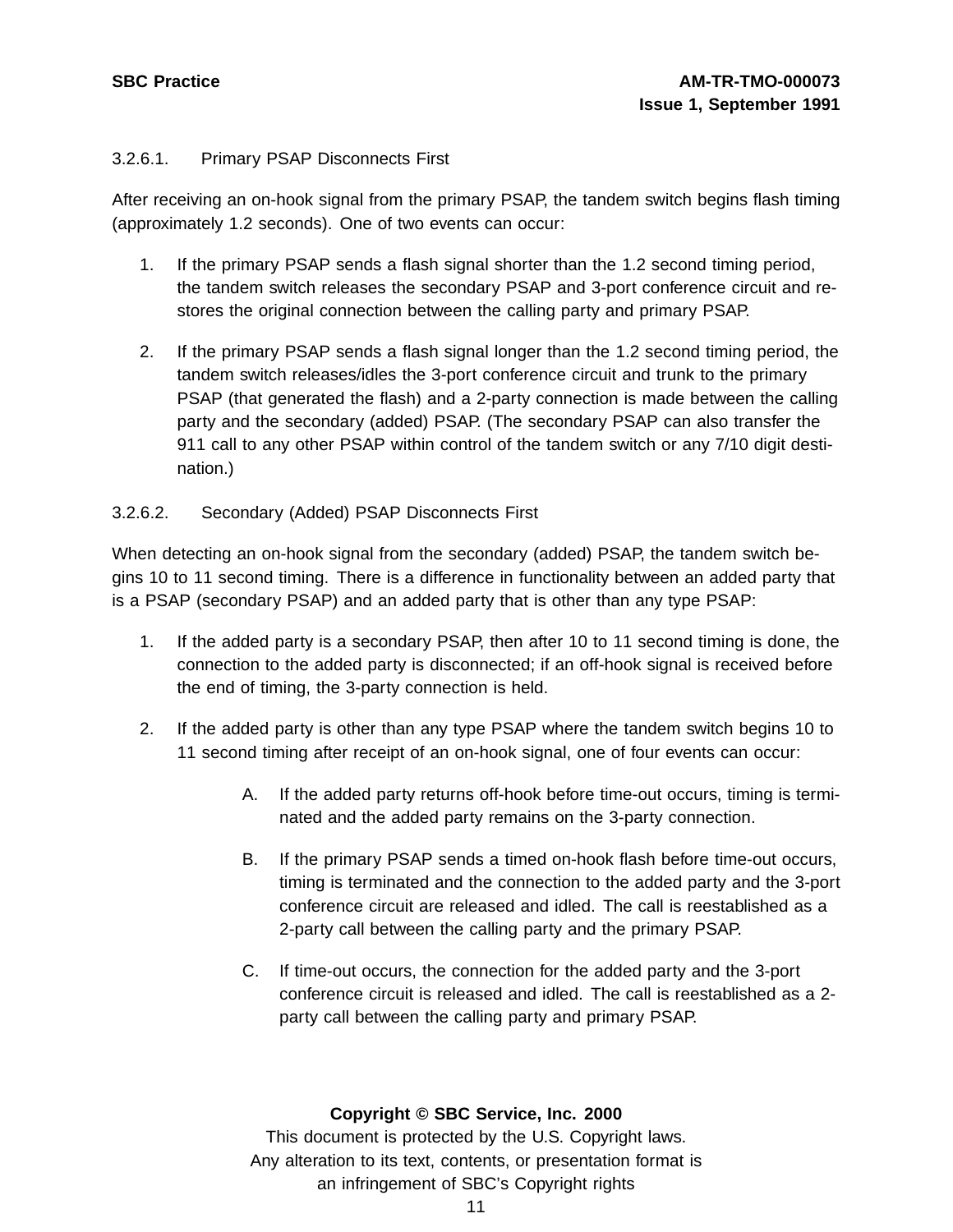### 3.2.6.1. Primary PSAP Disconnects First

After receiving an on-hook signal from the primary PSAP, the tandem switch begins flash timing (approximately 1.2 seconds). One of two events can occur:

- 1. If the primary PSAP sends a flash signal shorter than the 1.2 second timing period, the tandem switch releases the secondary PSAP and 3-port conference circuit and restores the original connection between the calling party and primary PSAP.
- 2. If the primary PSAP sends a flash signal longer than the 1.2 second timing period, the tandem switch releases/idles the 3-port conference circuit and trunk to the primary PSAP (that generated the flash) and a 2-party connection is made between the calling party and the secondary (added) PSAP. (The secondary PSAP can also transfer the 911 call to any other PSAP within control of the tandem switch or any 7/10 digit destination.)

### 3.2.6.2. Secondary (Added) PSAP Disconnects First

When detecting an on-hook signal from the secondary (added) PSAP, the tandem switch begins 10 to 11 second timing. There is a difference in functionality between an added party that is a PSAP (secondary PSAP) and an added party that is other than any type PSAP:

- 1. If the added party is a secondary PSAP, then after 10 to 11 second timing is done, the connection to the added party is disconnected; if an off-hook signal is received before the end of timing, the 3-party connection is held.
- 2. If the added party is other than any type PSAP where the tandem switch begins 10 to 11 second timing after receipt of an on-hook signal, one of four events can occur:
	- A. If the added party returns off-hook before time-out occurs, timing is terminated and the added party remains on the 3-party connection.
	- B. If the primary PSAP sends a timed on-hook flash before time-out occurs, timing is terminated and the connection to the added party and the 3-port conference circuit are released and idled. The call is reestablished as a 2-party call between the calling party and the primary PSAP.
	- C. If time-out occurs, the connection for the added party and the 3-port conference circuit is released and idled. The call is reestablished as a 2 party call between the calling party and primary PSAP.

#### **Copyright © SBC Service, Inc. 2000**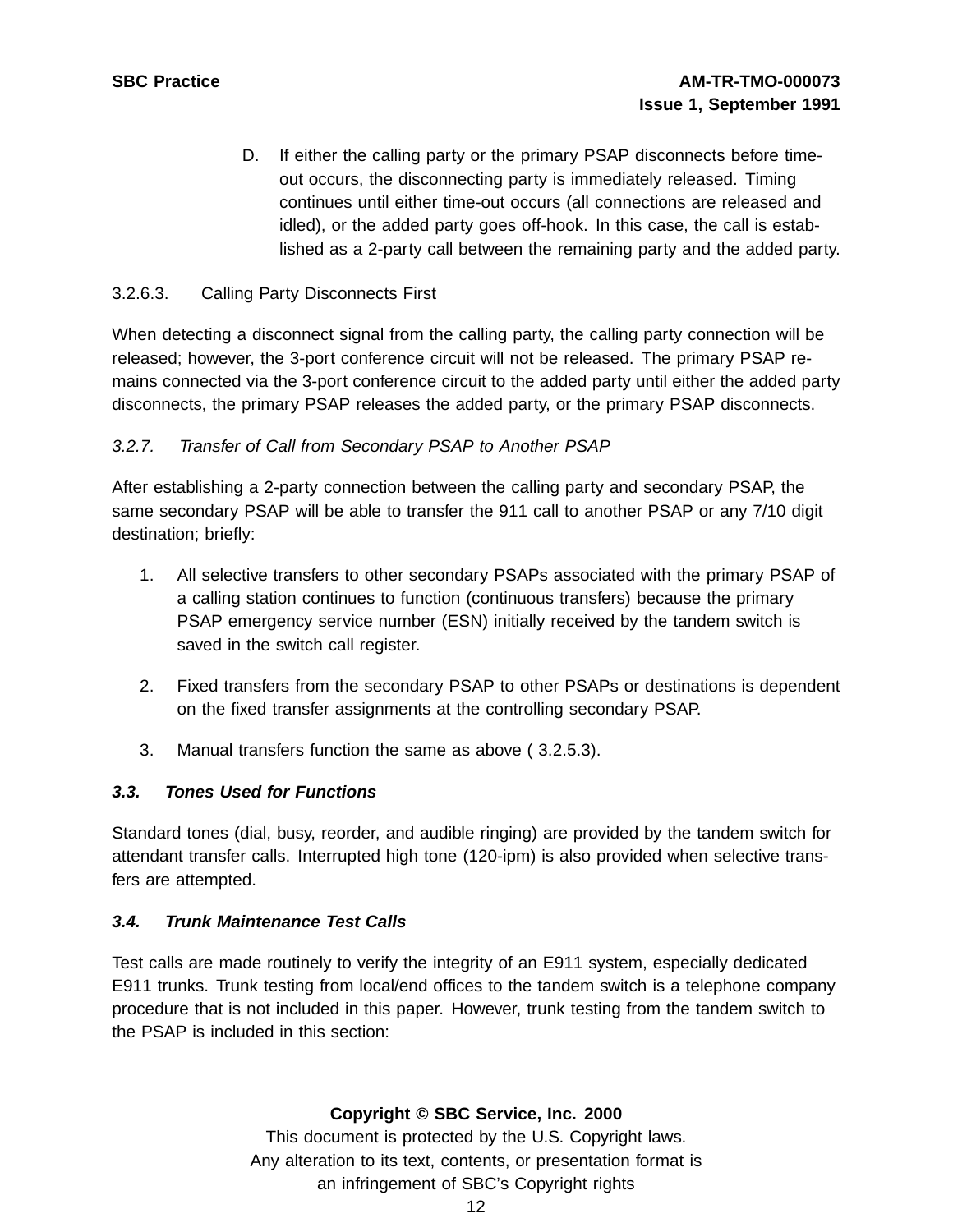D. If either the calling party or the primary PSAP disconnects before timeout occurs, the disconnecting party is immediately released. Timing continues until either time-out occurs (all connections are released and idled), or the added party goes off-hook. In this case, the call is established as a 2-party call between the remaining party and the added party.

#### 3.2.6.3. Calling Party Disconnects First

When detecting a disconnect signal from the calling party, the calling party connection will be released; however, the 3-port conference circuit will not be released. The primary PSAP remains connected via the 3-port conference circuit to the added party until either the added party disconnects, the primary PSAP releases the added party, or the primary PSAP disconnects.

#### 3.2.7. Transfer of Call from Secondary PSAP to Another PSAP

After establishing a 2-party connection between the calling party and secondary PSAP, the same secondary PSAP will be able to transfer the 911 call to another PSAP or any 7/10 digit destination; briefly:

- 1. All selective transfers to other secondary PSAPs associated with the primary PSAP of a calling station continues to function (continuous transfers) because the primary PSAP emergency service number (ESN) initially received by the tandem switch is saved in the switch call register.
- 2. Fixed transfers from the secondary PSAP to other PSAPs or destinations is dependent on the fixed transfer assignments at the controlling secondary PSAP.
- 3. Manual transfers function the same as above ( 3.2.5.3).

#### **3.3. Tones Used for Functions**

Standard tones (dial, busy, reorder, and audible ringing) are provided by the tandem switch for attendant transfer calls. Interrupted high tone (120-ipm) is also provided when selective transfers are attempted.

#### **3.4. Trunk Maintenance Test Calls**

Test calls are made routinely to verify the integrity of an E911 system, especially dedicated E911 trunks. Trunk testing from local/end offices to the tandem switch is a telephone company procedure that is not included in this paper. However, trunk testing from the tandem switch to the PSAP is included in this section:

### **Copyright © SBC Service, Inc. 2000**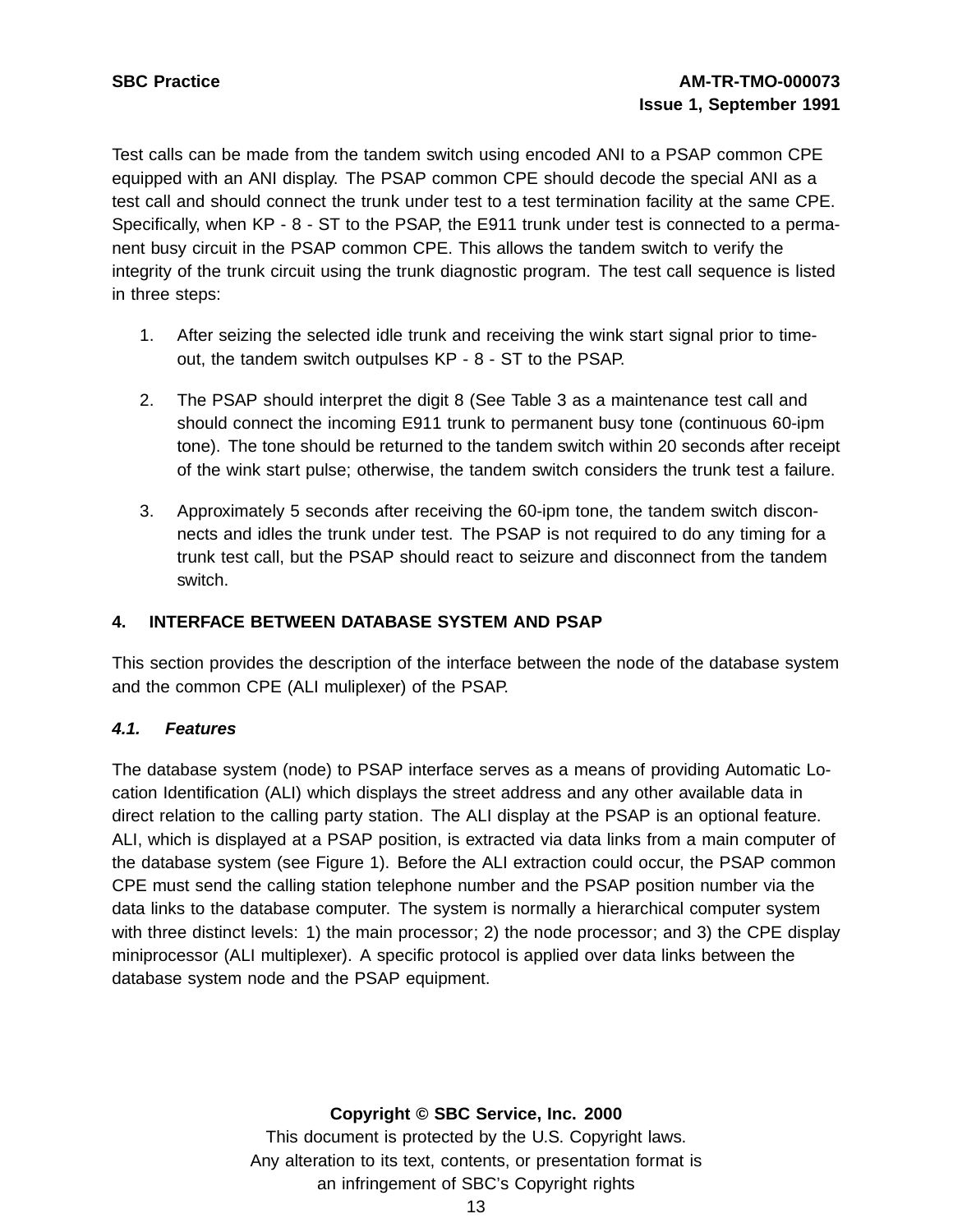Test calls can be made from the tandem switch using encoded ANI to a PSAP common CPE equipped with an ANI display. The PSAP common CPE should decode the special ANI as a test call and should connect the trunk under test to a test termination facility at the same CPE. Specifically, when KP - 8 - ST to the PSAP, the E911 trunk under test is connected to a permanent busy circuit in the PSAP common CPE. This allows the tandem switch to verify the integrity of the trunk circuit using the trunk diagnostic program. The test call sequence is listed in three steps:

- 1. After seizing the selected idle trunk and receiving the wink start signal prior to timeout, the tandem switch outpulses KP - 8 - ST to the PSAP.
- 2. The PSAP should interpret the digit 8 (See Table 3 as a maintenance test call and should connect the incoming E911 trunk to permanent busy tone (continuous 60-ipm tone). The tone should be returned to the tandem switch within 20 seconds after receipt of the wink start pulse; otherwise, the tandem switch considers the trunk test a failure.
- 3. Approximately 5 seconds after receiving the 60-ipm tone, the tandem switch disconnects and idles the trunk under test. The PSAP is not required to do any timing for a trunk test call, but the PSAP should react to seizure and disconnect from the tandem switch.

# **4. INTERFACE BETWEEN DATABASE SYSTEM AND PSAP**

This section provides the description of the interface between the node of the database system and the common CPE (ALI muliplexer) of the PSAP.

### **4.1. Features**

The database system (node) to PSAP interface serves as a means of providing Automatic Location Identification (ALI) which displays the street address and any other available data in direct relation to the calling party station. The ALI display at the PSAP is an optional feature. ALI, which is displayed at a PSAP position, is extracted via data links from a main computer of the database system (see Figure 1). Before the ALI extraction could occur, the PSAP common CPE must send the calling station telephone number and the PSAP position number via the data links to the database computer. The system is normally a hierarchical computer system with three distinct levels: 1) the main processor; 2) the node processor; and 3) the CPE display miniprocessor (ALI multiplexer). A specific protocol is applied over data links between the database system node and the PSAP equipment.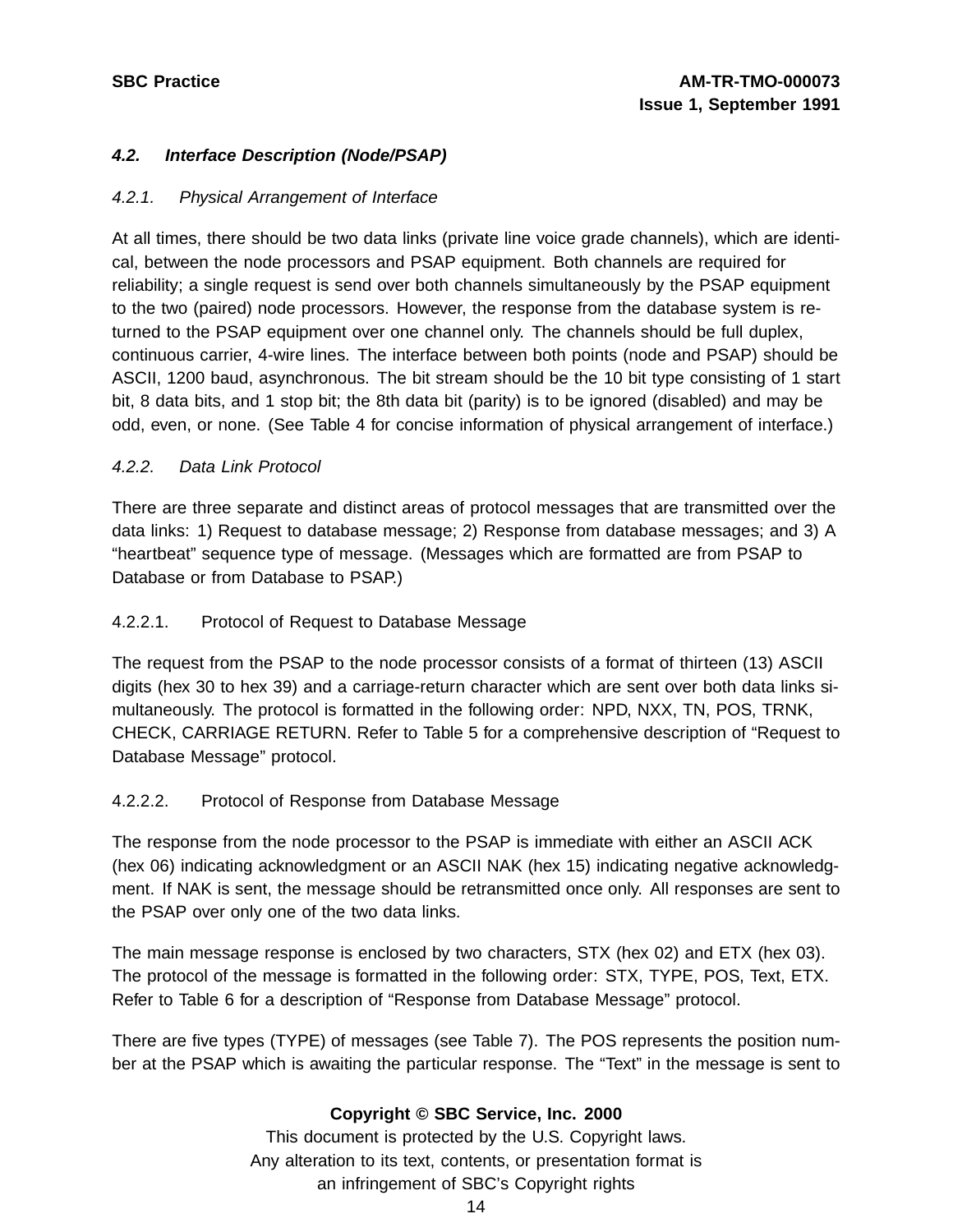#### **4.2. Interface Description (Node/PSAP)**

#### 4.2.1. Physical Arrangement of Interface

At all times, there should be two data links (private line voice grade channels), which are identical, between the node processors and PSAP equipment. Both channels are required for reliability; a single request is send over both channels simultaneously by the PSAP equipment to the two (paired) node processors. However, the response from the database system is returned to the PSAP equipment over one channel only. The channels should be full duplex, continuous carrier, 4-wire lines. The interface between both points (node and PSAP) should be ASCII, 1200 baud, asynchronous. The bit stream should be the 10 bit type consisting of 1 start bit, 8 data bits, and 1 stop bit; the 8th data bit (parity) is to be ignored (disabled) and may be odd, even, or none. (See Table 4 for concise information of physical arrangement of interface.)

#### 4.2.2. Data Link Protocol

There are three separate and distinct areas of protocol messages that are transmitted over the data links: 1) Request to database message; 2) Response from database messages; and 3) A "heartbeat" sequence type of message. (Messages which are formatted are from PSAP to Database or from Database to PSAP.)

#### 4.2.2.1. Protocol of Request to Database Message

The request from the PSAP to the node processor consists of a format of thirteen (13) ASCII digits (hex 30 to hex 39) and a carriage-return character which are sent over both data links simultaneously. The protocol is formatted in the following order: NPD, NXX, TN, POS, TRNK, CHECK, CARRIAGE RETURN. Refer to Table 5 for a comprehensive description of "Request to Database Message" protocol.

#### 4.2.2.2. Protocol of Response from Database Message

The response from the node processor to the PSAP is immediate with either an ASCII ACK (hex 06) indicating acknowledgment or an ASCII NAK (hex 15) indicating negative acknowledgment. If NAK is sent, the message should be retransmitted once only. All responses are sent to the PSAP over only one of the two data links.

The main message response is enclosed by two characters, STX (hex 02) and ETX (hex 03). The protocol of the message is formatted in the following order: STX, TYPE, POS, Text, ETX. Refer to Table 6 for a description of "Response from Database Message" protocol.

There are five types (TYPE) of messages (see Table 7). The POS represents the position number at the PSAP which is awaiting the particular response. The "Text" in the message is sent to

#### **Copyright © SBC Service, Inc. 2000**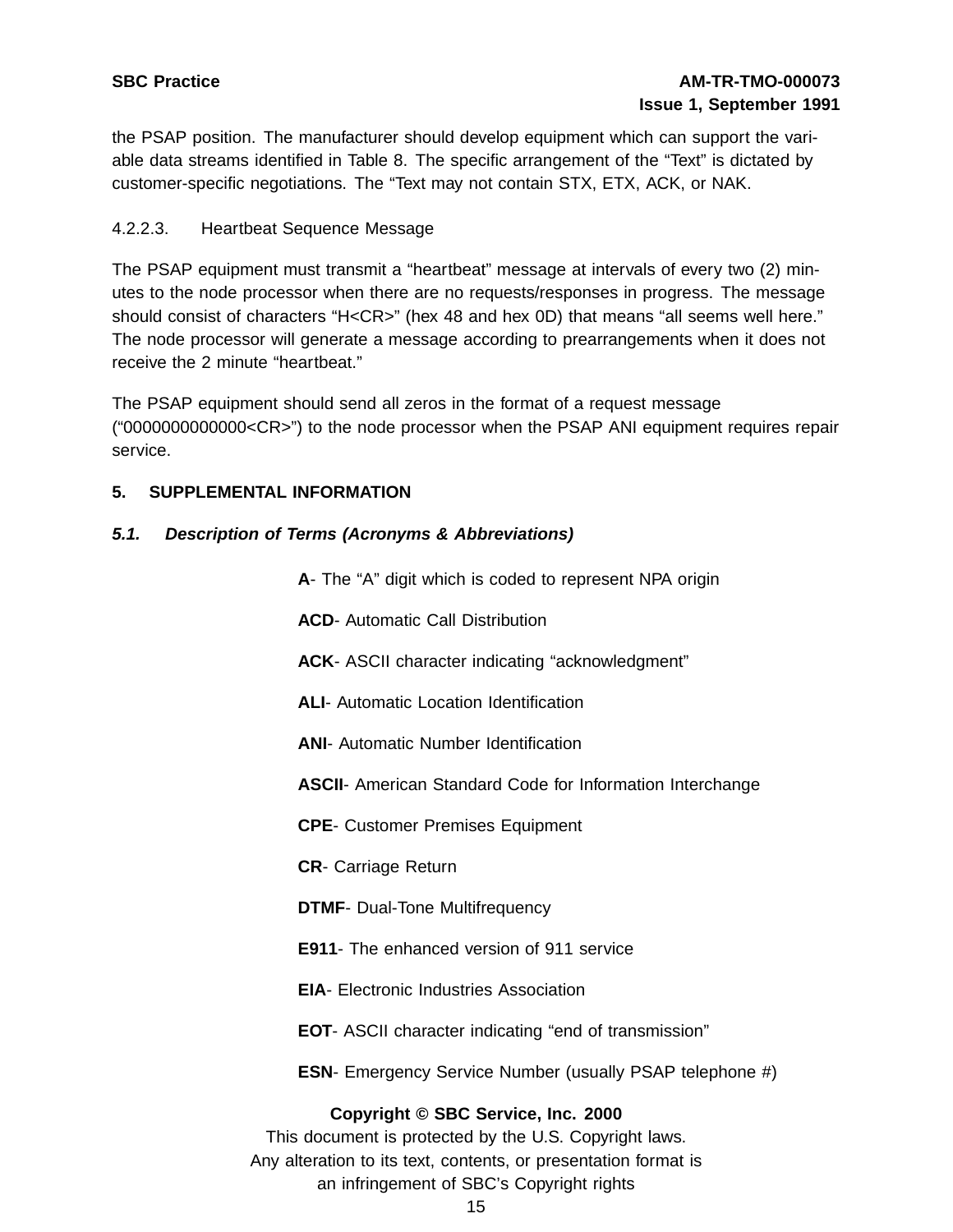the PSAP position. The manufacturer should develop equipment which can support the variable data streams identified in Table 8. The specific arrangement of the "Text" is dictated by customer-specific negotiations. The "Text may not contain STX, ETX, ACK, or NAK.

### 4.2.2.3. Heartbeat Sequence Message

The PSAP equipment must transmit a "heartbeat" message at intervals of every two (2) minutes to the node processor when there are no requests/responses in progress. The message should consist of characters "H<CR>" (hex 48 and hex 0D) that means "all seems well here." The node processor will generate a message according to prearrangements when it does not receive the 2 minute "heartbeat."

The PSAP equipment should send all zeros in the format of a request message ("0000000000000<CR>") to the node processor when the PSAP ANI equipment requires repair service.

#### **5. SUPPLEMENTAL INFORMATION**

#### **5.1. Description of Terms (Acronyms & Abbreviations)**

**A**- The "A" digit which is coded to represent NPA origin

**ACD**- Automatic Call Distribution

**ACK**- ASCII character indicating "acknowledgment"

**ALI**- Automatic Location Identification

**ANI**- Automatic Number Identification

**ASCII**- American Standard Code for Information Interchange

**CPE**- Customer Premises Equipment

**CR**- Carriage Return

**DTMF**- Dual-Tone Multifrequency

**E911**- The enhanced version of 911 service

**EIA**- Electronic Industries Association

**EOT**- ASCII character indicating "end of transmission"

**ESN**- Emergency Service Number (usually PSAP telephone #)

#### **Copyright © SBC Service, Inc. 2000**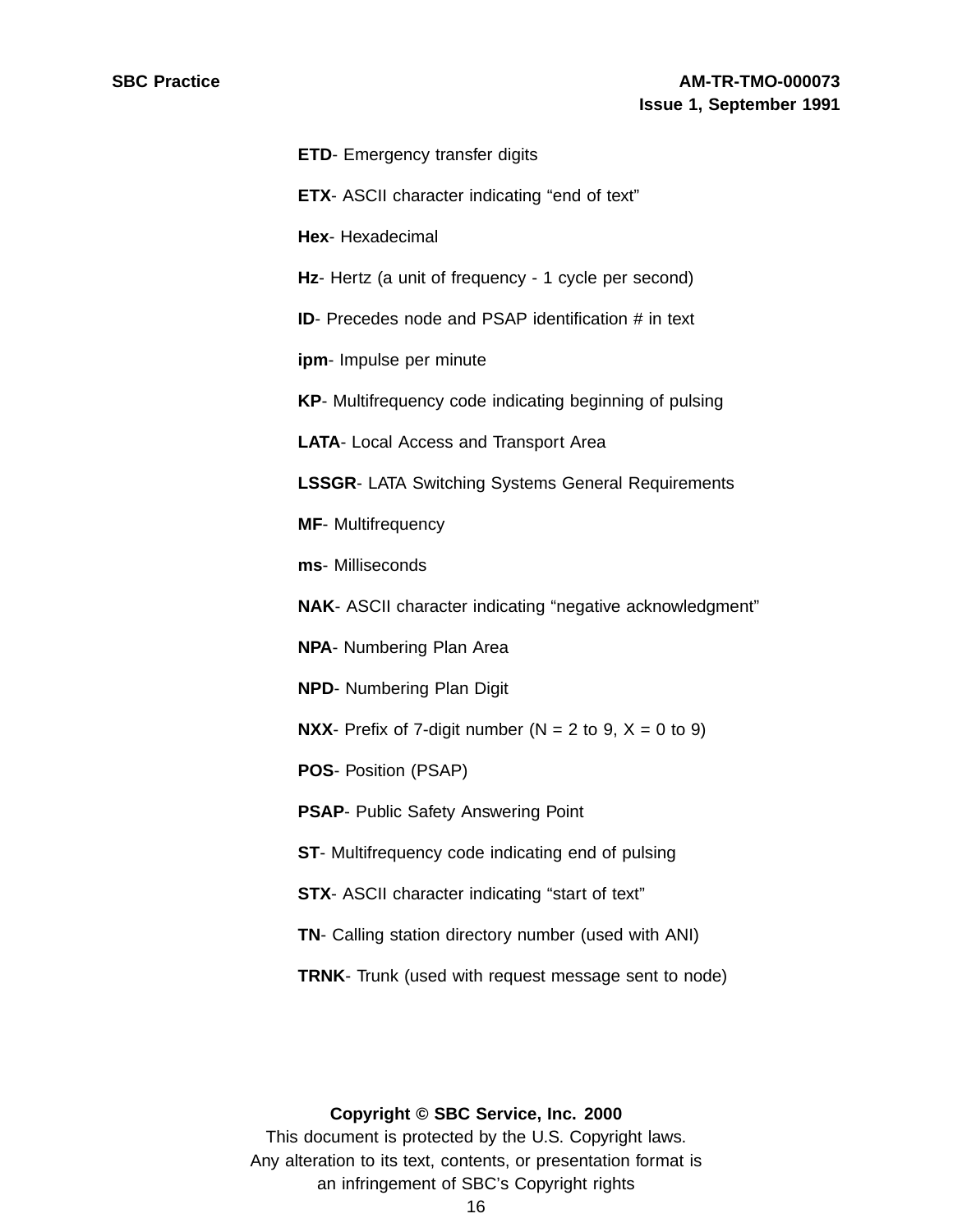| <b>ETD-</b> Emergency transfer digits                               |
|---------------------------------------------------------------------|
| <b>ETX-</b> ASCII character indicating "end of text"                |
| Hex- Hexadecimal                                                    |
| Hz- Hertz (a unit of frequency - 1 cycle per second)                |
| <b>ID-</b> Precedes node and PSAP identification # in text          |
| ipm- Impulse per minute                                             |
| KP- Multifrequency code indicating beginning of pulsing             |
| <b>LATA-</b> Local Access and Transport Area                        |
| <b>LSSGR- LATA Switching Systems General Requirements</b>           |
| <b>MF-</b> Multifrequency                                           |
| ms- Milliseconds                                                    |
| NAK- ASCII character indicating "negative acknowledgment"           |
| <b>NPA-</b> Numbering Plan Area                                     |
| <b>NPD-</b> Numbering Plan Digit                                    |
| <b>NXX</b> - Prefix of 7-digit number ( $N = 2$ to 9, $X = 0$ to 9) |
| <b>POS-</b> Position (PSAP)                                         |
| <b>PSAP-</b> Public Safety Answering Point                          |
| ST- Multifrequency code indicating end of pulsing                   |
| STX- ASCII character indicating "start of text"                     |
| TN- Calling station directory number (used with ANI)                |
| TRNK- Trunk (used with request message sent to node)                |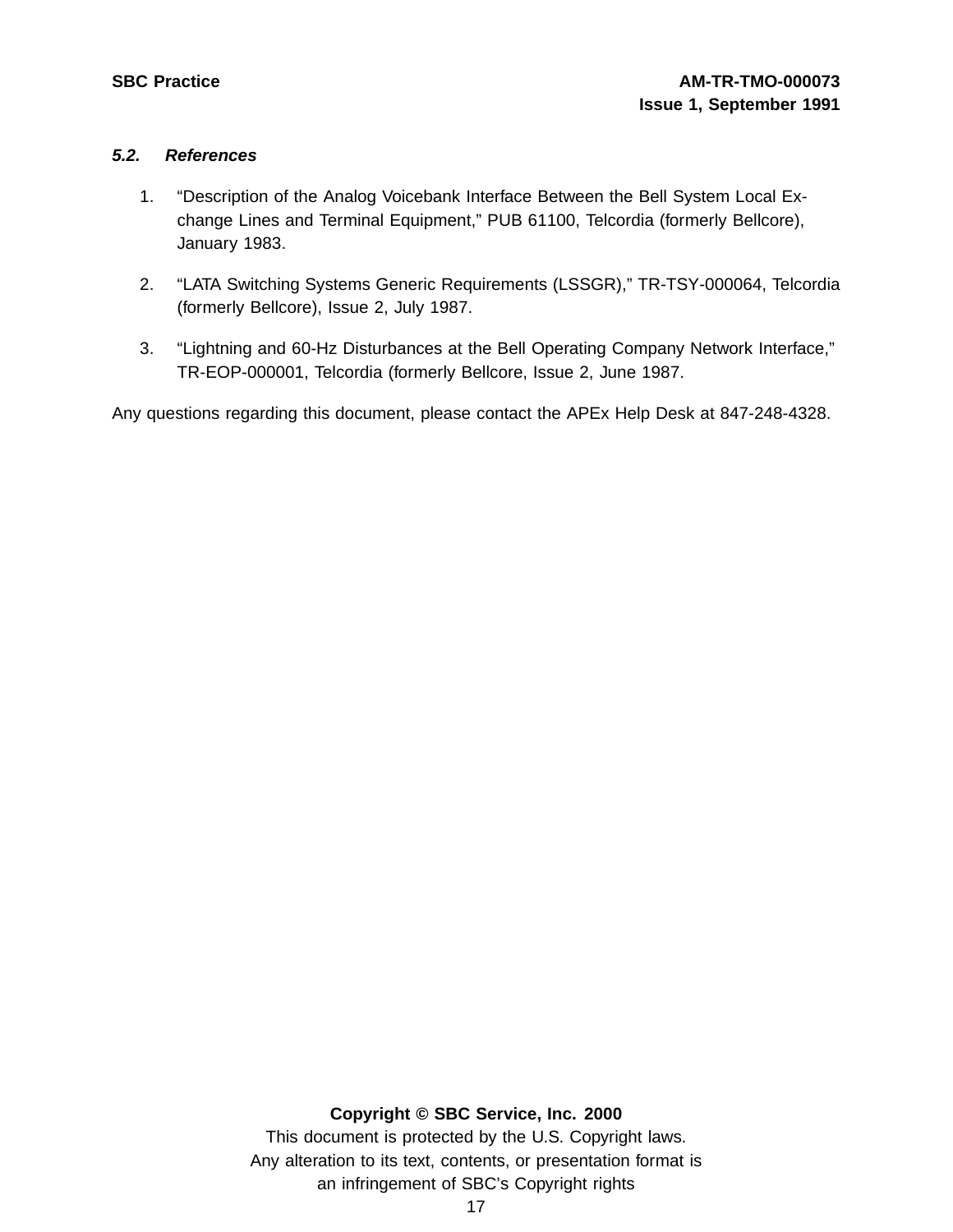#### **5.2. References**

- 1. "Description of the Analog Voicebank Interface Between the Bell System Local Exchange Lines and Terminal Equipment," PUB 61100, Telcordia (formerly Bellcore), January 1983.
- 2. "LATA Switching Systems Generic Requirements (LSSGR)," TR-TSY-000064, Telcordia (formerly Bellcore), Issue 2, July 1987.
- 3. "Lightning and 60-Hz Disturbances at the Bell Operating Company Network Interface," TR-EOP-000001, Telcordia (formerly Bellcore, Issue 2, June 1987.

Any questions regarding this document, please contact the APEx Help Desk at 847-248-4328.

#### **Copyright © SBC Service, Inc. 2000**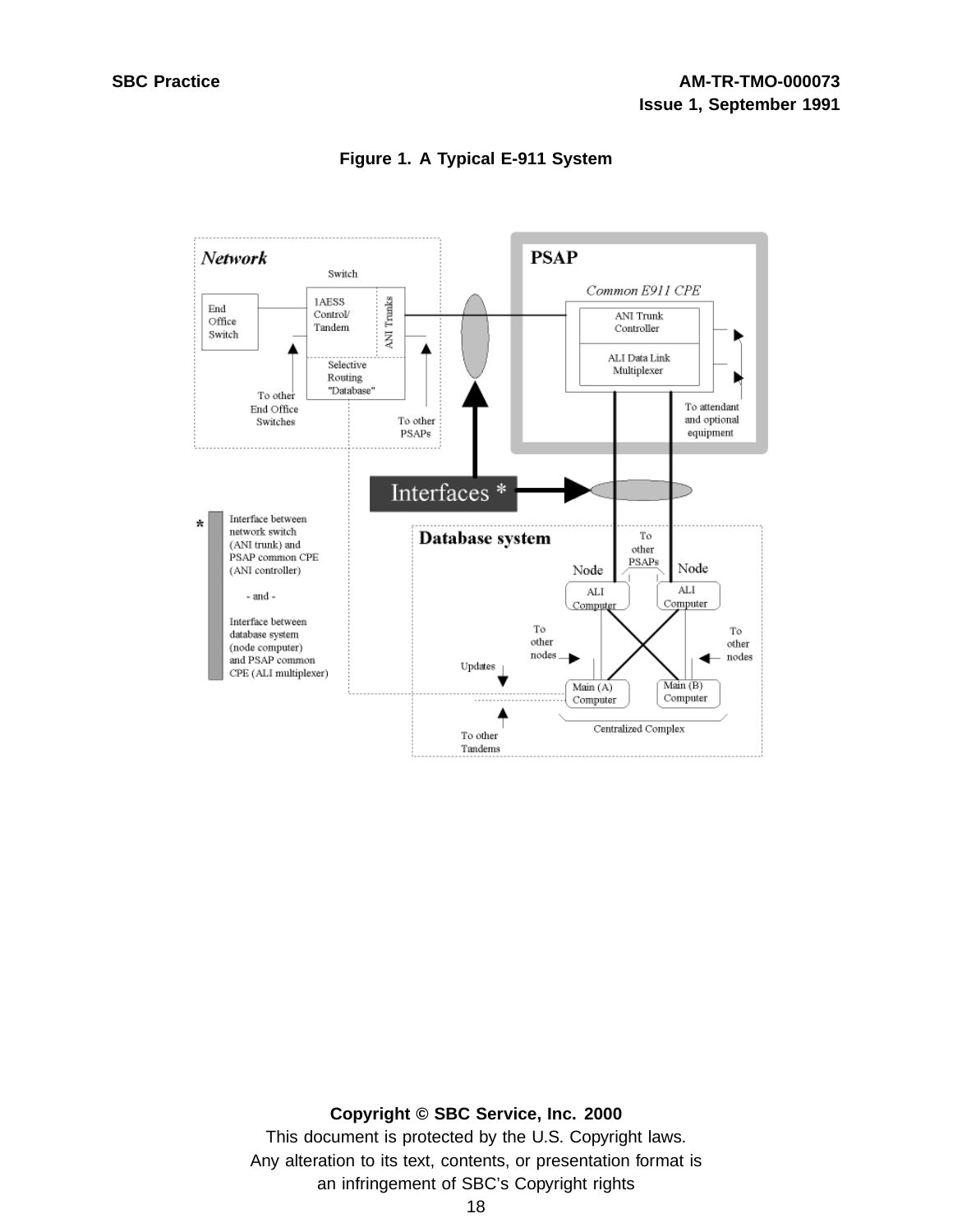

**Figure 1. A Typical E-911 System**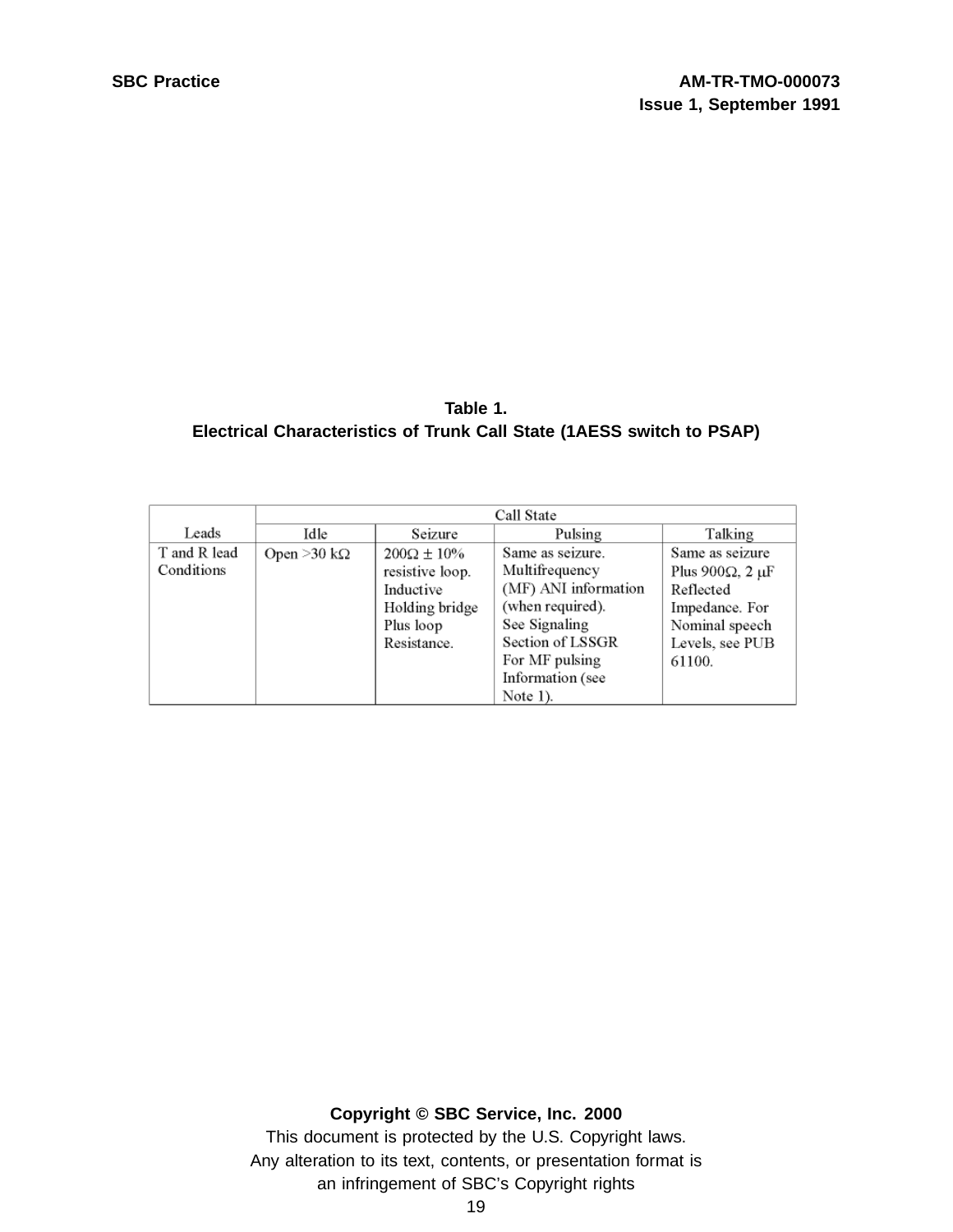| Table 1.                                                              |
|-----------------------------------------------------------------------|
| Electrical Characteristics of Trunk Call State (1AESS switch to PSAP) |

|              | Call State           |                      |                      |                               |  |  |
|--------------|----------------------|----------------------|----------------------|-------------------------------|--|--|
| Leads        | Idle                 | Seizure              | Pulsing              | Talking                       |  |  |
| T and R lead | Open > 30 k $\Omega$ | $200\Omega \pm 10\%$ | Same as seizure.     | Same as seizure               |  |  |
| Conditions   |                      | resistive loop.      | Multifrequency       | Plus 900 $\Omega$ , 2 $\mu$ F |  |  |
|              |                      | Inductive            | (MF) ANI information | Reflected                     |  |  |
|              |                      | Holding bridge       | (when required).     | Impedance. For                |  |  |
|              |                      | Plus loop            | See Signaling        | Nominal speech                |  |  |
|              |                      | Resistance.          | Section of LSSGR     | Levels, see PUB               |  |  |
|              |                      |                      | For MF pulsing       | 61100.                        |  |  |
|              |                      |                      | Information (see     |                               |  |  |
|              |                      |                      | Note $1$ ).          |                               |  |  |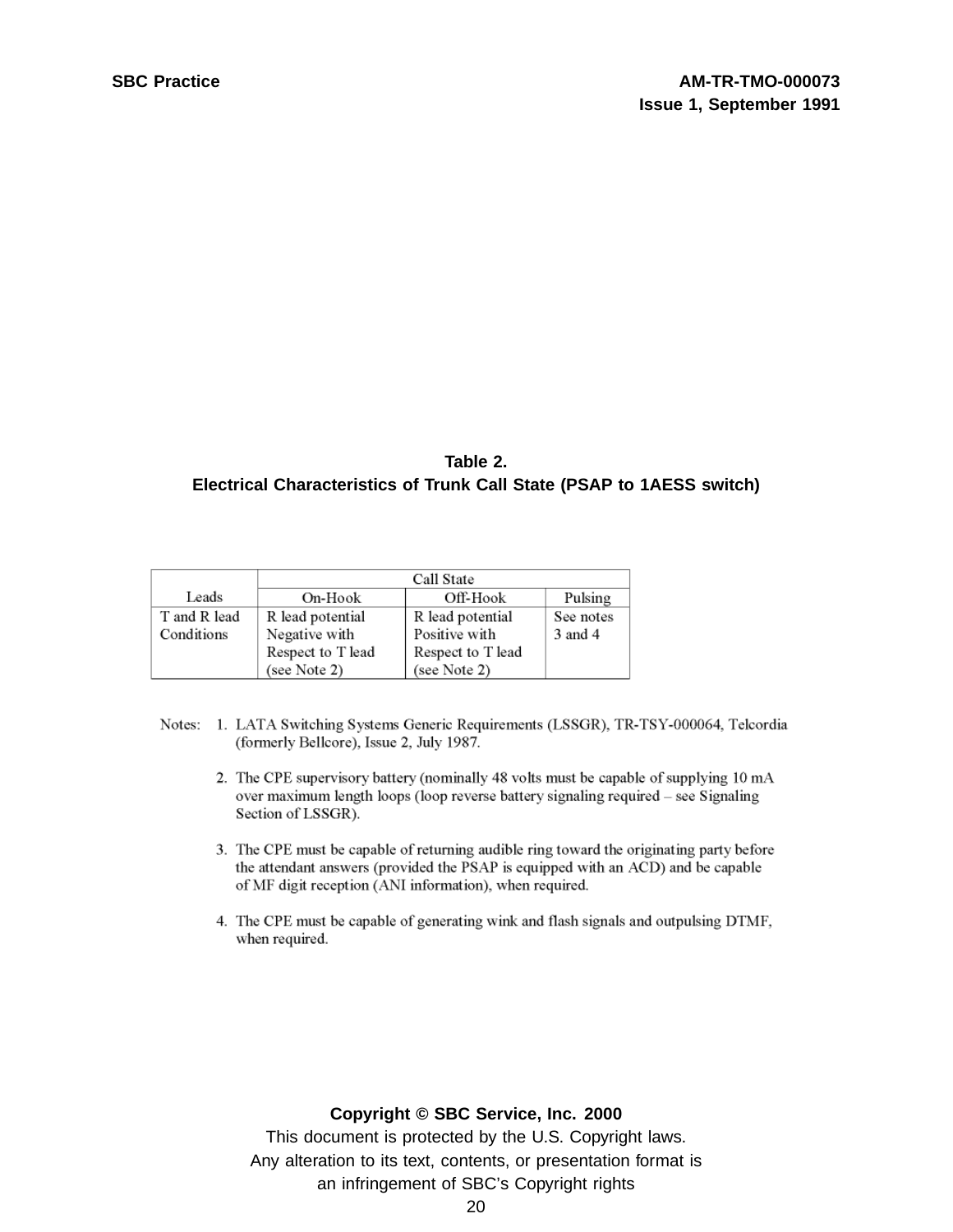### **Table 2. Electrical Characteristics of Trunk Call State (PSAP to 1AESS switch)**

|              | Call State        |                   |           |  |
|--------------|-------------------|-------------------|-----------|--|
| Leads        | On-Hook           | Off-Hook          | Pulsing   |  |
| T and R lead | R lead potential  | R lead potential  | See notes |  |
| Conditions   | Negative with     | Positive with     | 3 and 4   |  |
|              | Respect to T lead | Respect to T lead |           |  |
|              | (see Note 2)      | (see Note 2)      |           |  |

- Notes: 1. LATA Switching Systems Generic Requirements (LSSGR), TR-TSY-000064, Telcordia (formerly Bellcore), Issue 2, July 1987.
	- 2. The CPE supervisory battery (nominally 48 volts must be capable of supplying 10 mA over maximum length loops (loop reverse battery signaling required - see Signaling Section of LSSGR).
	- 3. The CPE must be capable of returning audible ring toward the originating party before the attendant answers (provided the PSAP is equipped with an ACD) and be capable of MF digit reception (ANI information), when required.
	- 4. The CPE must be capable of generating wink and flash signals and outpulsing DTMF, when required.

#### **Copyright © SBC Service, Inc. 2000**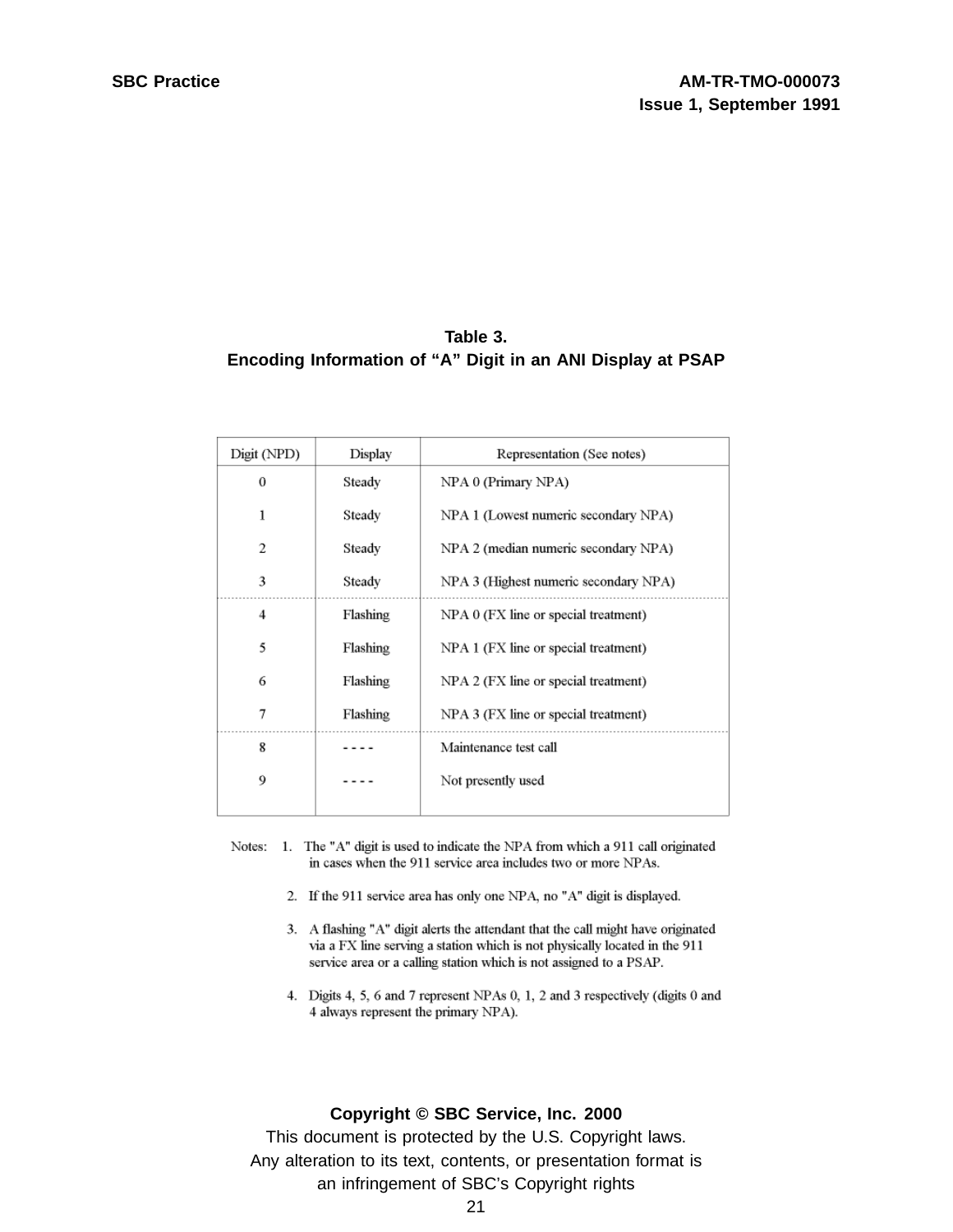### **Table 3. Encoding Information of "A" Digit in an ANI Display at PSAP**

| Digit (NPD) | Display  | Representation (See notes)            |
|-------------|----------|---------------------------------------|
| 0           | Steady   | NPA 0 (Primary NPA)                   |
| 1           | Steady   | NPA 1 (Lowest numeric secondary NPA)  |
| 2           | Steady   | NPA 2 (median numeric secondary NPA)  |
| 3           | Steady   | NPA 3 (Highest numeric secondary NPA) |
| 4           | Flashing | NPA 0 (FX line or special treatment)  |
| 5           | Flashing | NPA 1 (FX line or special treatment)  |
| 6           | Flashing | NPA 2 (FX line or special treatment)  |
| 7           | Flashing | NPA 3 (FX line or special treatment)  |
| 8           |          | Maintenance test call                 |
| 9           |          | Not presently used                    |
|             |          |                                       |

- Notes: 1. The "A" digit is used to indicate the NPA from which a 911 call originated in cases when the 911 service area includes two or more NPAs.
	- 2. If the 911 service area has only one NPA, no "A" digit is displayed.
	- 3. A flashing "A" digit alerts the attendant that the call might have originated via a FX line serving a station which is not physically located in the 911 service area or a calling station which is not assigned to a PSAP.
	- 4. Digits 4, 5, 6 and 7 represent NPAs 0, 1, 2 and 3 respectively (digits 0 and 4 always represent the primary NPA).

#### **Copyright © SBC Service, Inc. 2000**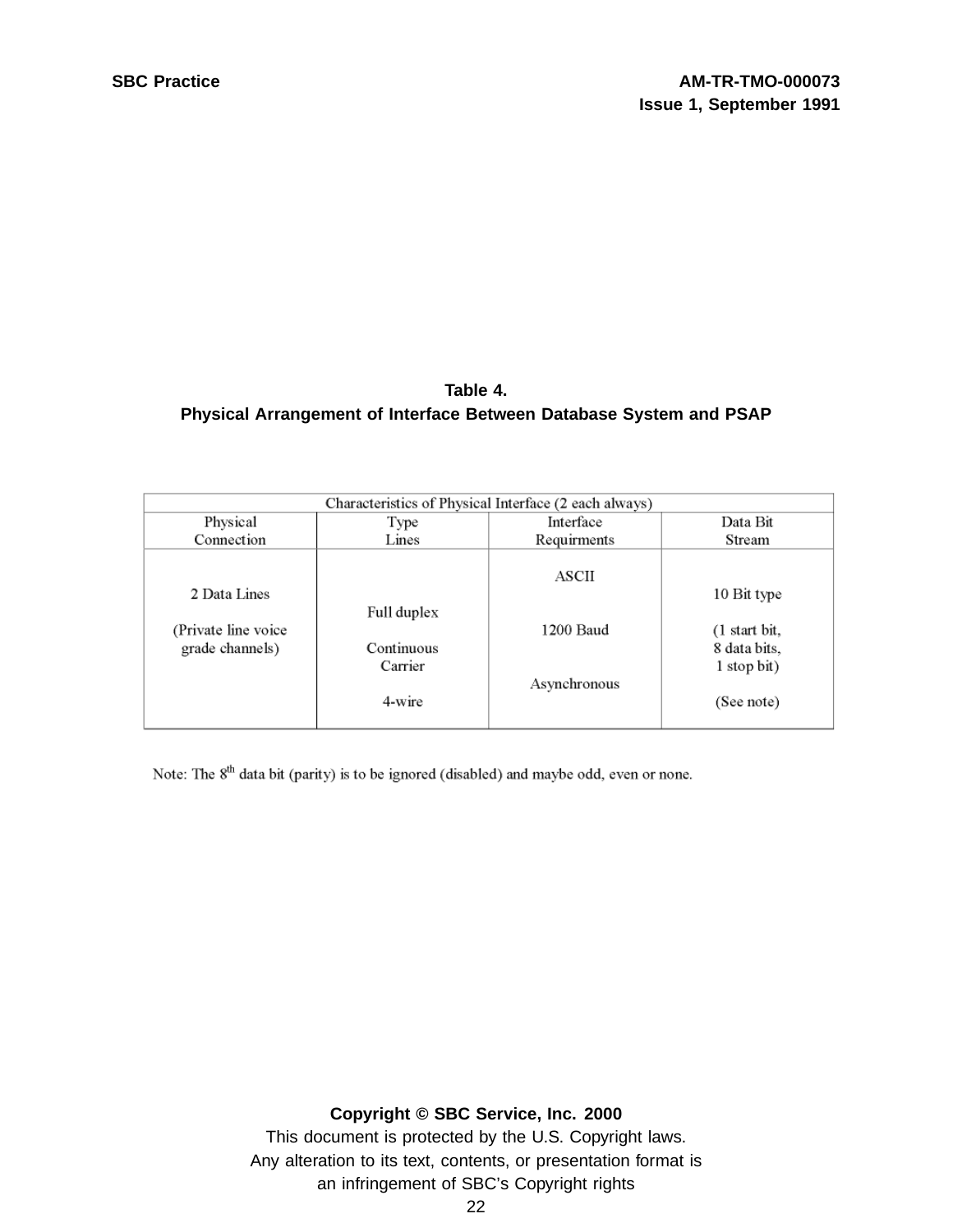# **Table 4. Physical Arrangement of Interface Between Database System and PSAP**

| Characteristics of Physical Interface (2 each always)  |                                                |                                    |                                                                                     |  |  |
|--------------------------------------------------------|------------------------------------------------|------------------------------------|-------------------------------------------------------------------------------------|--|--|
| Physical                                               | Type                                           | Interface                          | Data Bit                                                                            |  |  |
| Connection                                             | Lines                                          | Requirments                        | Stream                                                                              |  |  |
| 2 Data Lines<br>(Private line voice<br>grade channels) | Full duplex<br>Continuous<br>Carrier<br>4-wire | ASCII<br>1200 Baud<br>Asynchronous | 10 Bit type<br>$(1 \text{ start bit},$<br>8 data bits,<br>1 stop bit)<br>(See note) |  |  |

Note: The 8<sup>th</sup> data bit (parity) is to be ignored (disabled) and maybe odd, even or none.

#### **Copyright © SBC Service, Inc. 2000**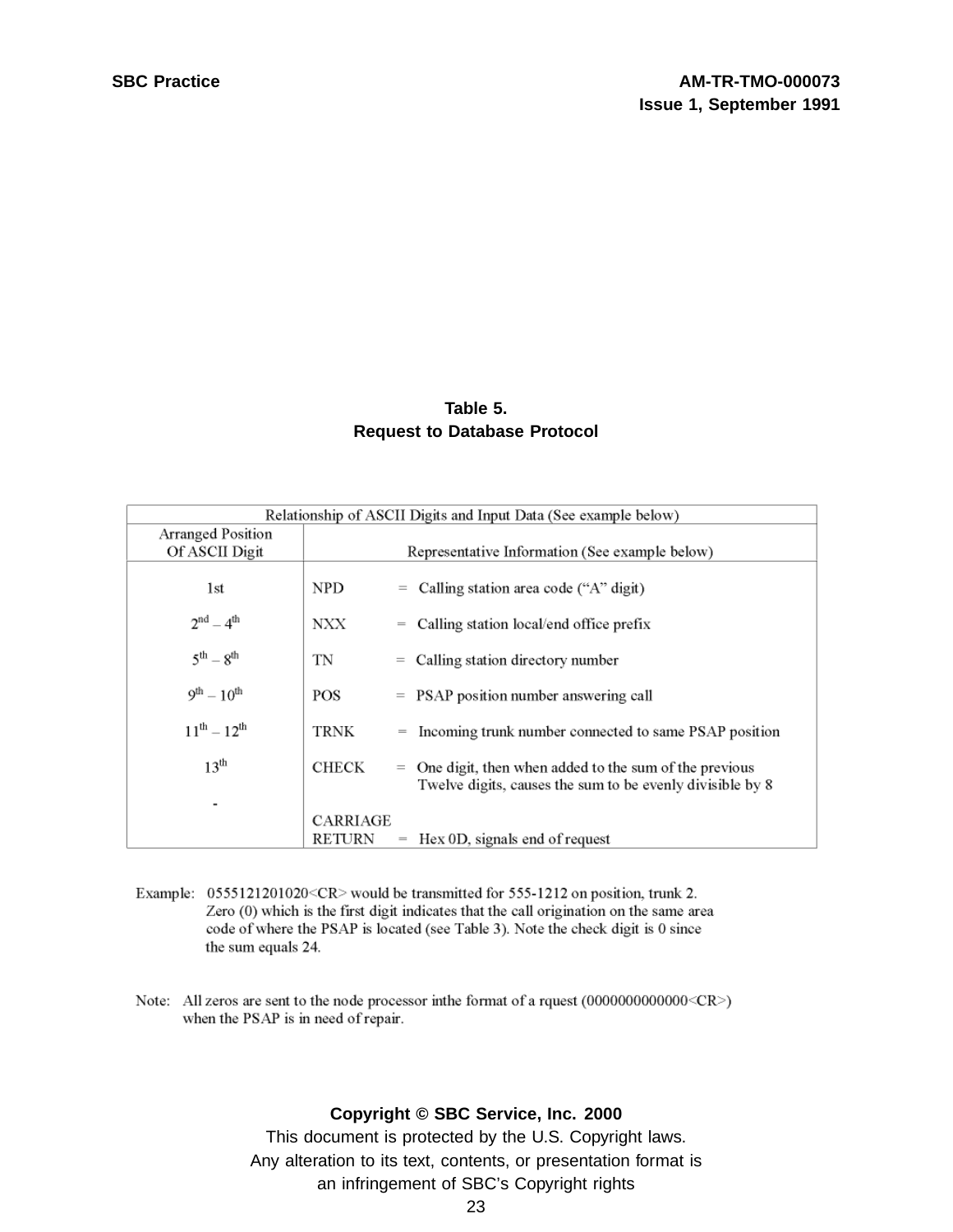#### **Table 5. Request to Database Protocol**

| Relationship of ASCII Digits and Input Data (See example below) |              |     |                                                                                                                        |
|-----------------------------------------------------------------|--------------|-----|------------------------------------------------------------------------------------------------------------------------|
| Arranged Position                                               |              |     |                                                                                                                        |
| Of ASCII Digit                                                  |              |     | Representative Information (See example below)                                                                         |
| 1st                                                             | NPD.         |     | $=$ Calling station area code ("A" digit)                                                                              |
| $2^{nd} - 4^{th}$                                               | NXX.         | $=$ | Calling station local/end office prefix                                                                                |
| $5^{\text{th}} - 8^{\text{th}}$                                 | TN           |     | $=$ Calling station directory number                                                                                   |
| $9^{th} - 10^{th}$                                              | POS          |     | $=$ PSAP position number answering call                                                                                |
| $11^{th} - 12^{th}$                                             | TRNK         |     | = Incoming trunk number connected to same PSAP position                                                                |
| 13 <sup>th</sup>                                                | <b>CHECK</b> |     | $=$ One digit, then when added to the sum of the previous<br>Twelve digits, causes the sum to be evenly divisible by 8 |
| $\overline{\phantom{a}}$                                        |              |     |                                                                                                                        |
|                                                                 | CARRIAGE     |     |                                                                                                                        |
|                                                                 | RETURN       | $=$ | Hex 0D, signals end of request                                                                                         |

- Example: 0555121201020<CR> would be transmitted for 555-1212 on position, trunk 2. Zero (0) which is the first digit indicates that the call origination on the same area code of where the PSAP is located (see Table 3). Note the check digit is 0 since the sum equals 24.
- Note: All zeros are sent to the node processor in<br>the format of a rquest (000000000000000<CR>) when the PSAP is in need of repair.

#### **Copyright © SBC Service, Inc. 2000**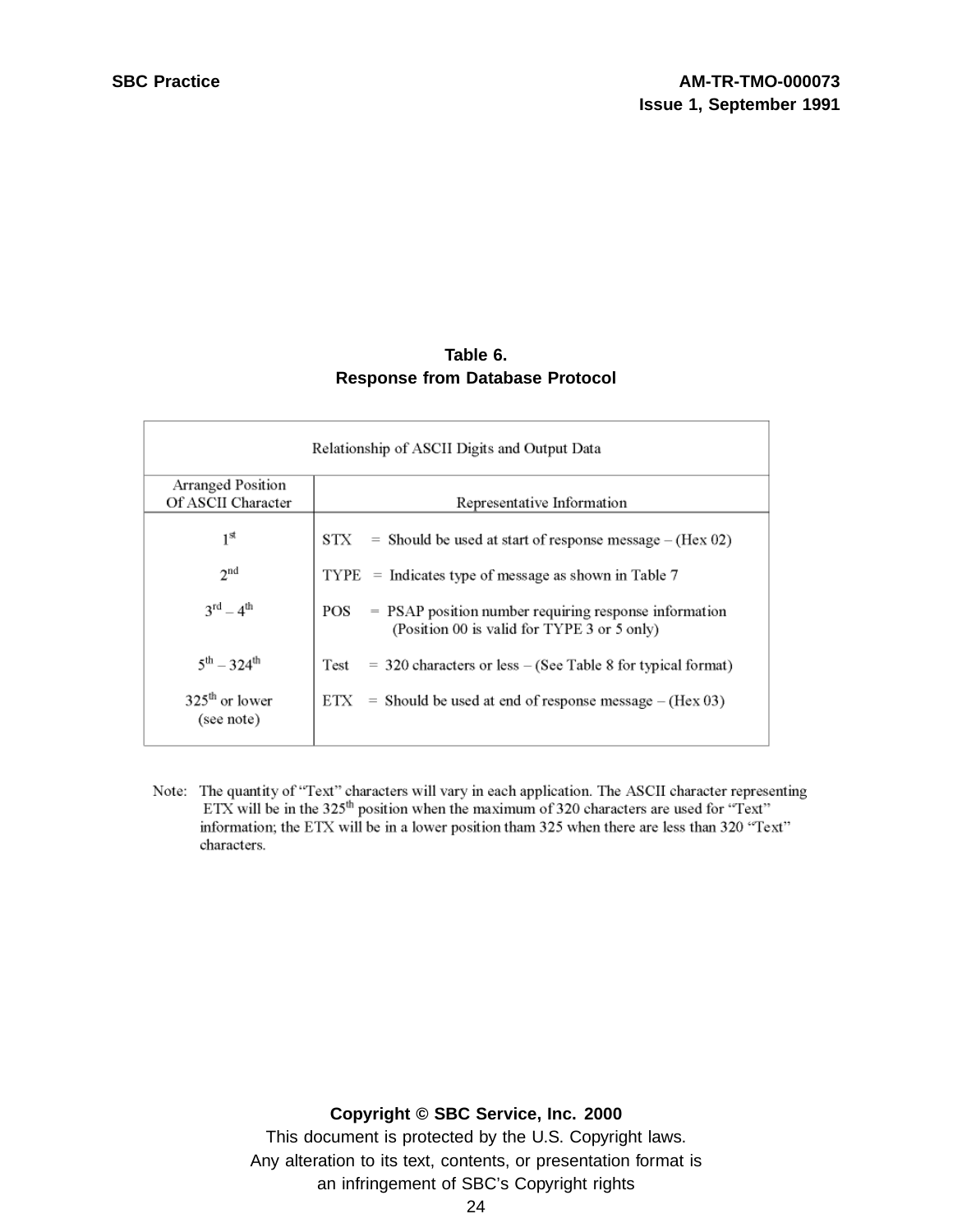### **Table 6. Response from Database Protocol**

| Relationship of ASCII Digits and Output Data |                                                                                                             |  |  |  |
|----------------------------------------------|-------------------------------------------------------------------------------------------------------------|--|--|--|
| Arranged Position<br>Of ASCII Character      | Representative Information                                                                                  |  |  |  |
| $1^{\rm st}$                                 | $STX$ = Should be used at start of response message – (Hex 02)                                              |  |  |  |
| 2 <sup>nd</sup>                              | $TYPE$ = Indicates type of message as shown in Table 7                                                      |  |  |  |
| $3^{rd} - 4^{th}$                            | = PSAP position number requiring response information<br>POS<br>(Position 00 is valid for TYPE 3 or 5 only) |  |  |  |
| $5^{th} - 324^{th}$                          | Test<br>$=$ 320 characters or less $-$ (See Table 8 for typical format)                                     |  |  |  |
| $325th$ or lower<br>(see note)               | $ETX =$ Should be used at end of response message – (Hex 03)                                                |  |  |  |

Note: The quantity of "Text" characters will vary in each application. The ASCII character representing ETX will be in the 325<sup>th</sup> position when the maximum of 320 characters are used for "Text" information; the ETX will be in a lower position tham 325 when there are less than 320 "Text" characters.

#### **Copyright © SBC Service, Inc. 2000**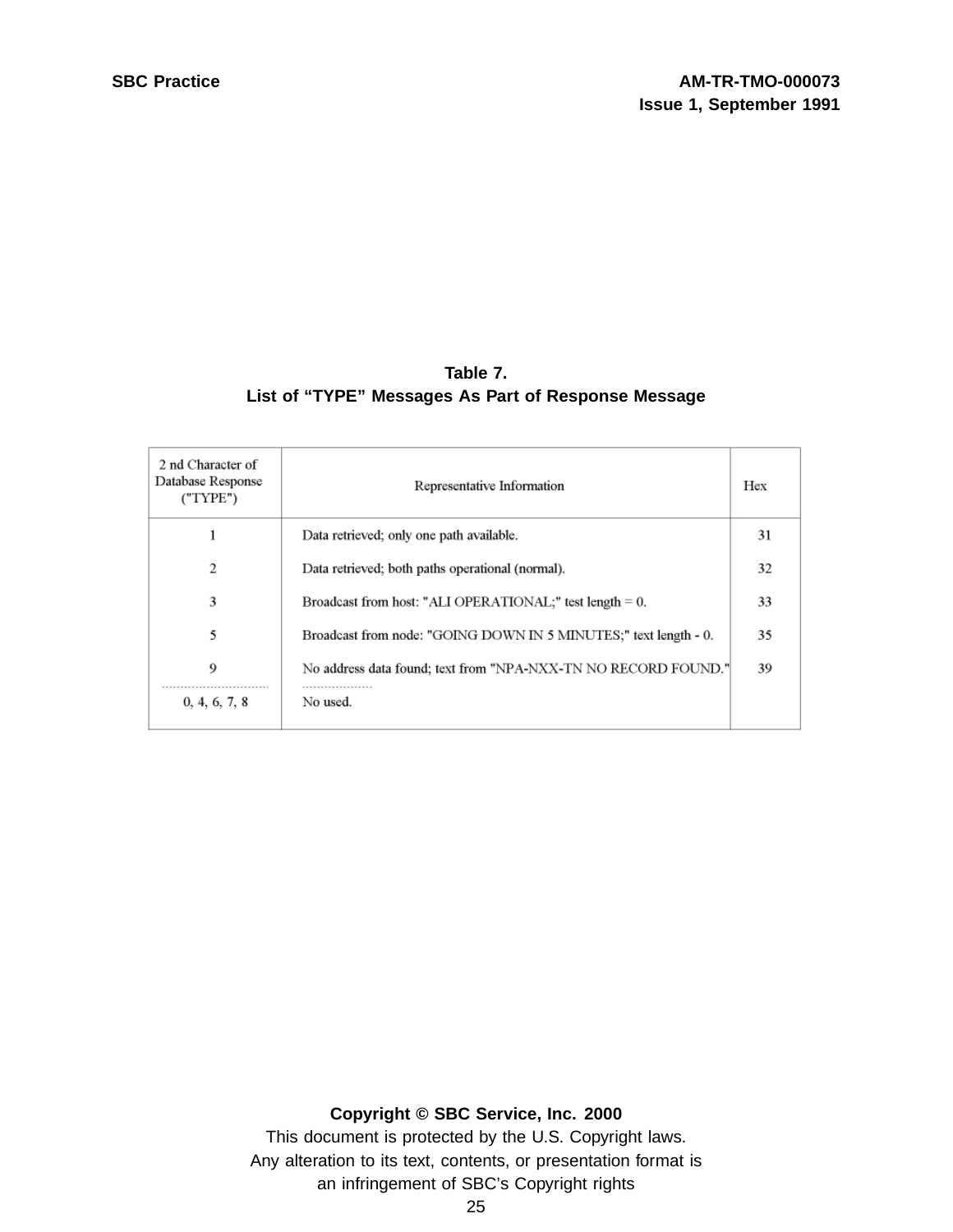#### **Table 7. List of "TYPE" Messages As Part of Response Message**

| 2 nd Character of<br>Database Response<br>("TYPE") | Representative Information                                       | Hex |
|----------------------------------------------------|------------------------------------------------------------------|-----|
|                                                    | Data retrieved; only one path available.                         | 31  |
| 2                                                  | Data retrieved; both paths operational (normal).                 | 32  |
| 3                                                  | Broadcast from host: "ALI OPERATIONAL;" test length = 0.         | 33  |
| 5                                                  | Broadcast from node: "GOING DOWN IN 5 MINUTES:" text length - 0. | 35  |
| 9                                                  | No address data found; text from "NPA-NXX-TN NO RECORD FOUND."   | 39  |
| 0, 4, 6, 7, 8                                      | No used.                                                         |     |

#### **Copyright © SBC Service, Inc. 2000**